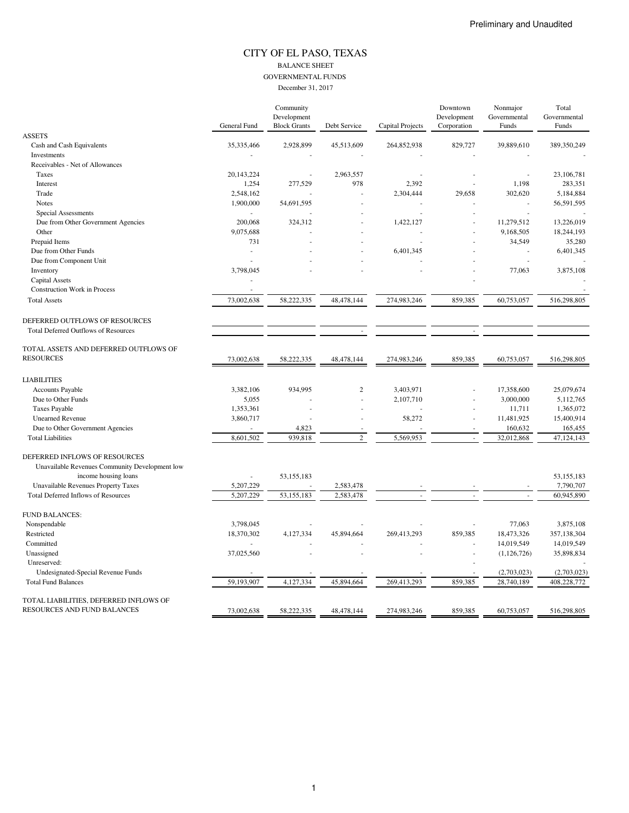## CITY OF EL PASO, TEXAS BALANCE SHEET GOVERNMENTAL FUNDS

December 31, 2017

|                                                | General Fund | Community<br>Development<br><b>Block Grants</b> | Debt Service   | Capital Projects | Downtown<br>Development<br>Corporation | Nonmajor<br>Governmental<br>Funds | Total<br>Governmental<br>Funds |
|------------------------------------------------|--------------|-------------------------------------------------|----------------|------------------|----------------------------------------|-----------------------------------|--------------------------------|
| <b>ASSETS</b>                                  |              |                                                 |                |                  |                                        |                                   |                                |
| Cash and Cash Equivalents                      | 35,335,466   | 2,928,899                                       | 45,513,609     | 264,852,938      | 829,727                                | 39,889,610                        | 389,350,249                    |
| Investments                                    |              |                                                 |                |                  |                                        |                                   |                                |
| Receivables - Net of Allowances                |              |                                                 |                |                  |                                        |                                   |                                |
| Taxes                                          | 20, 143, 224 |                                                 | 2,963,557      |                  |                                        |                                   | 23,106,781                     |
| Interest                                       | 1,254        | 277,529                                         | 978            | 2,392            |                                        | 1,198                             | 283,351                        |
| Trade                                          | 2,548,162    |                                                 |                | 2,304,444        | 29,658                                 | 302,620                           | 5,184,884                      |
| <b>Notes</b>                                   | 1,900,000    | 54,691,595                                      |                |                  |                                        |                                   | 56,591,595                     |
| Special Assessments                            |              |                                                 |                |                  |                                        |                                   |                                |
| Due from Other Government Agencies             | 200,068      | 324,312                                         |                | 1,422,127        |                                        | 11,279,512                        | 13,226,019                     |
| Other                                          | 9,075,688    |                                                 |                |                  |                                        | 9,168,505                         | 18,244,193                     |
| Prepaid Items                                  | 731          |                                                 |                |                  |                                        | 34,549                            | 35,280                         |
| Due from Other Funds                           | ÷,           |                                                 |                | 6,401,345        |                                        |                                   | 6,401,345                      |
| Due from Component Unit                        |              |                                                 |                |                  |                                        |                                   |                                |
| Inventory                                      | 3,798,045    |                                                 |                |                  |                                        | 77,063                            | 3,875,108                      |
| <b>Capital Assets</b>                          |              |                                                 |                |                  |                                        |                                   |                                |
| <b>Construction Work in Process</b>            |              |                                                 |                |                  |                                        |                                   |                                |
| <b>Total Assets</b>                            | 73,002,638   | 58,222,335                                      | 48,478,144     | 274,983,246      | 859,385                                | 60,753,057                        | 516,298,805                    |
| DEFERRED OUTFLOWS OF RESOURCES                 |              |                                                 |                |                  |                                        |                                   |                                |
| <b>Total Deferred Outflows of Resources</b>    |              |                                                 |                |                  |                                        |                                   |                                |
| TOTAL ASSETS AND DEFERRED OUTFLOWS OF          |              |                                                 |                |                  |                                        |                                   |                                |
| <b>RESOURCES</b>                               | 73,002,638   | 58,222,335                                      | 48,478,144     | 274,983,246      | 859,385                                | 60,753,057                        | 516,298,805                    |
| <b>LIABILITIES</b>                             |              |                                                 |                |                  |                                        |                                   |                                |
| Accounts Payable                               | 3,382,106    | 934,995                                         | $\overline{c}$ | 3,403,971        |                                        | 17,358,600                        | 25,079,674                     |
| Due to Other Funds                             | 5,055        |                                                 |                | 2,107,710        |                                        | 3,000,000                         | 5,112,765                      |
| <b>Taxes Payable</b>                           | 1,353,361    |                                                 |                |                  |                                        | 11,711                            | 1,365,072                      |
| <b>Unearned Revenue</b>                        | 3,860,717    |                                                 |                | 58,272           |                                        | 11,481,925                        | 15,400,914                     |
| Due to Other Government Agencies               |              | 4,823                                           |                |                  |                                        | 160,632                           | 165,455                        |
| <b>Total Liabilities</b>                       | 8,601,502    | 939,818                                         | $\overline{c}$ | 5,569,953        |                                        | 32,012,868                        | 47,124,143                     |
| DEFERRED INFLOWS OF RESOURCES                  |              |                                                 |                |                  |                                        |                                   |                                |
| Unavailable Revenues Community Development low |              |                                                 |                |                  |                                        |                                   |                                |
| income housing loans                           |              | 53,155,183                                      |                |                  |                                        |                                   | 53,155,183                     |
| Unavailable Revenues Property Taxes            | 5,207,229    |                                                 | 2,583,478      |                  |                                        |                                   | 7,790,707                      |
| <b>Total Deferred Inflows of Resources</b>     | 5,207,229    | 53,155,183                                      | 2,583,478      |                  |                                        |                                   | 60,945,890                     |
| <b>FUND BALANCES:</b>                          |              |                                                 |                |                  |                                        |                                   |                                |
| Nonspendable                                   | 3,798,045    |                                                 |                |                  |                                        | 77,063                            | 3,875,108                      |
| Restricted                                     | 18,370,302   | 4,127,334                                       | 45,894,664     | 269,413,293      | 859,385                                | 18,473,326                        | 357,138,304                    |
| Committed                                      |              |                                                 |                |                  |                                        | 14,019,549                        | 14,019,549                     |
| Unassigned                                     | 37,025,560   |                                                 |                |                  |                                        | (1,126,726)                       | 35,898,834                     |
| Unreserved:                                    |              |                                                 |                |                  |                                        |                                   |                                |
| Undesignated-Special Revenue Funds             |              |                                                 |                |                  |                                        | (2,703,023)                       | (2,703,023)                    |
| <b>Total Fund Balances</b>                     | 59,193,907   | 4,127,334                                       | 45,894,664     | 269,413,293      | 859,385                                | 28,740,189                        | 408,228,772                    |
| TOTAL LIABILITIES, DEFERRED INFLOWS OF         |              |                                                 |                |                  |                                        |                                   |                                |
| RESOURCES AND FUND BALANCES                    | 73,002,638   | 58,222,335                                      | 48,478,144     | 274,983,246      | 859,385                                | 60,753,057                        | 516,298,805                    |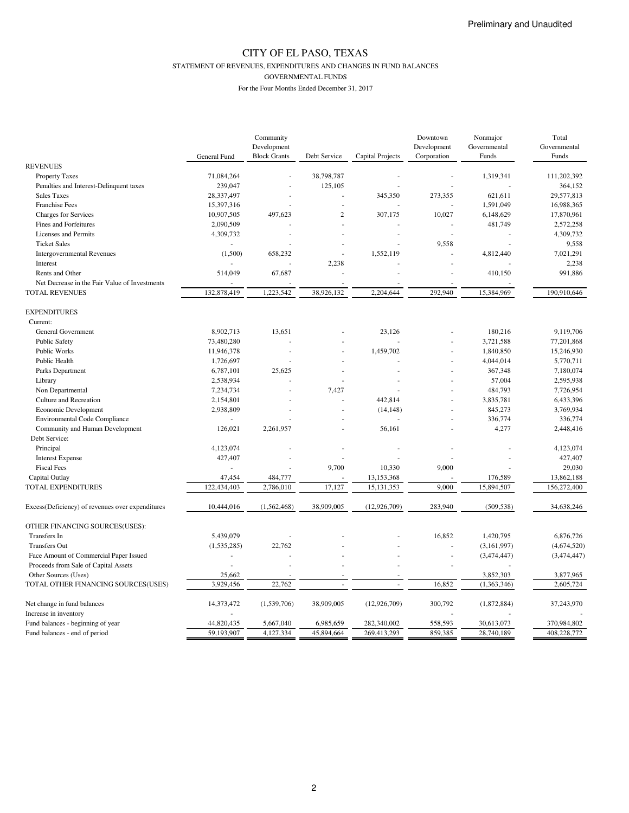STATEMENT OF REVENUES, EXPENDITURES AND CHANGES IN FUND BALANCES

GOVERNMENTAL FUNDS

|                                                  |              | Community           |                |                  | Downtown    | Nonmajor     | Total                  |
|--------------------------------------------------|--------------|---------------------|----------------|------------------|-------------|--------------|------------------------|
|                                                  |              | Development         |                |                  | Development | Governmental | Governmental           |
|                                                  | General Fund | <b>Block Grants</b> | Debt Service   | Capital Projects | Corporation | Funds        | Funds                  |
| <b>REVENUES</b>                                  |              |                     |                |                  |             |              |                        |
| <b>Property Taxes</b>                            | 71,084,264   |                     | 38,798,787     |                  |             | 1,319,341    | 111,202,392            |
| Penalties and Interest-Delinquent taxes          | 239,047      |                     | 125,105        |                  |             |              | 364,152                |
| <b>Sales Taxes</b>                               | 28,337,497   |                     |                | 345,350          | 273,355     | 621,611      | 29,577,813             |
| <b>Franchise Fees</b>                            | 15,397,316   |                     |                |                  |             | 1,591,049    | 16,988,365             |
| Charges for Services                             | 10,907,505   | 497,623             | $\overline{c}$ | 307,175          | 10,027      | 6,148,629    | 17,870,961             |
| Fines and Forfeitures                            | 2,090,509    |                     |                |                  |             | 481,749      | 2,572,258              |
| Licenses and Permits                             | 4,309,732    |                     |                |                  |             |              | 4,309,732              |
| <b>Ticket Sales</b>                              |              |                     |                |                  | 9,558       |              | 9,558                  |
| <b>Intergovernmental Revenues</b>                | (1,500)      | 658,232             |                | 1,552,119        |             | 4,812,440    | 7,021,291              |
| Interest                                         |              |                     | 2,238          |                  |             |              | 2,238                  |
| Rents and Other                                  | 514,049      | 67,687              |                |                  |             | 410,150      | 991,886                |
| Net Decrease in the Fair Value of Investments    |              |                     |                |                  |             |              |                        |
| <b>TOTAL REVENUES</b>                            | 132,878,419  | 1,223,542           | 38,926,132     | 2,204,644        | 292,940     | 15,384,969   | 190,910,646            |
| <b>EXPENDITURES</b>                              |              |                     |                |                  |             |              |                        |
| Current:                                         |              |                     |                |                  |             |              |                        |
| General Government                               | 8,902,713    | 13,651              |                | 23,126           |             | 180,216      | 9,119,706              |
| <b>Public Safety</b>                             | 73,480,280   |                     |                |                  |             | 3,721,588    | 77,201,868             |
| Public Works                                     | 11,946,378   |                     |                | 1,459,702        |             | 1,840,850    | 15,246,930             |
| Public Health                                    | 1,726,697    |                     |                |                  |             | 4,044,014    | 5.770.711              |
| Parks Department                                 | 6,787,101    | 25,625              |                |                  |             | 367,348      | 7,180,074              |
| Library                                          | 2,538,934    |                     |                |                  |             | 57,004       | 2,595,938              |
|                                                  | 7,234,734    |                     | 7,427          |                  |             | 484,793      | 7,726,954              |
| Non Departmental                                 |              |                     |                |                  |             |              |                        |
| Culture and Recreation                           | 2,154,801    |                     |                | 442,814          |             | 3,835,781    | 6,433,396<br>3,769,934 |
| Economic Development                             | 2,938,809    |                     |                | (14, 148)        |             | 845,273      |                        |
| <b>Environmental Code Compliance</b>             | $\sim$       |                     |                |                  |             | 336,774      | 336,774                |
| Community and Human Development                  | 126,021      | 2,261,957           |                | 56,161           |             | 4,277        | 2,448,416              |
| Debt Service:                                    |              |                     |                |                  |             |              |                        |
| Principal                                        | 4,123,074    |                     |                |                  |             |              | 4,123,074              |
| <b>Interest Expense</b>                          | 427,407      |                     |                |                  |             |              | 427,407                |
| <b>Fiscal Fees</b>                               |              |                     | 9,700          | 10,330           | 9,000       |              | 29,030                 |
| Capital Outlay                                   | 47,454       | 484,777             |                | 13,153,368       |             | 176,589      | 13,862,188             |
| TOTAL EXPENDITURES                               | 122,434,403  | 2,786,010           | 17,127         | 15, 131, 353     | 9,000       | 15,894,507   | 156,272,400            |
| Excess(Deficiency) of revenues over expenditures | 10,444,016   | (1, 562, 468)       | 38,909,005     | (12, 926, 709)   | 283,940     | (509, 538)   | 34,638,246             |
| OTHER FINANCING SOURCES(USES):                   |              |                     |                |                  |             |              |                        |
| Transfers In                                     | 5,439,079    |                     |                |                  | 16,852      | 1,420,795    | 6,876,726              |
| <b>Transfers Out</b>                             | (1,535,285)  | 22,762              |                |                  |             | (3,161,997)  | (4,674,520)            |
| Face Amount of Commercial Paper Issued           |              |                     |                |                  |             | (3,474,447)  | (3,474,447)            |
| Proceeds from Sale of Capital Assets             |              |                     |                |                  |             |              |                        |
| Other Sources (Uses)                             | 25,662       |                     |                |                  |             | 3,852,303    | 3,877,965              |
| TOTAL OTHER FINANCING SOURCES(USES)              | 3,929,456    | 22,762              |                |                  | 16,852      | (1,363,346)  | 2,605,724              |
|                                                  |              |                     |                |                  |             |              |                        |
| Net change in fund balances                      | 14,373,472   | (1,539,706)         | 38,909,005     | (12, 926, 709)   | 300,792     | (1,872,884)  | 37,243,970             |
| Increase in inventory                            |              |                     |                |                  |             |              |                        |
| Fund balances - beginning of year                | 44,820,435   | 5,667,040           | 6,985,659      | 282,340,002      | 558,593     | 30,613,073   | 370,984,802            |
| Fund balances - end of period                    | 59,193,907   | 4,127,334           | 45,894,664     | 269,413,293      | 859,385     | 28,740,189   | 408,228,772            |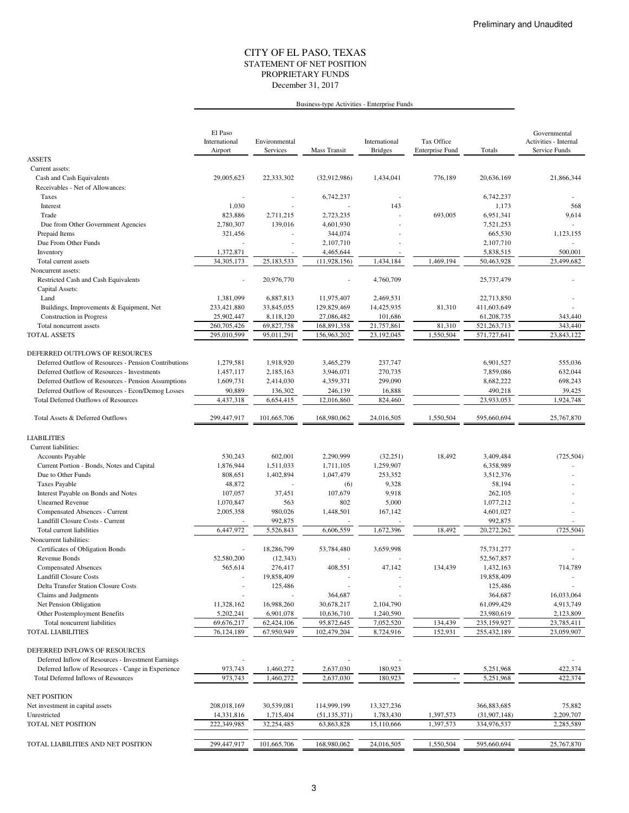### STATEMENT OF NET POSITION CITY OF EL PASO, TEXAS December 31, 2017 PROPRIETARY FUNDS

## Business-type Activities - Enterprise Funds

|                                                       | El Paso<br>International<br>Airport | Environmental<br>Services | Mass Transit   | International<br><b>Bridges</b> | Tax Office<br><b>Enterprise Fund</b> | Totals         | Governmental<br>Activities - Internal<br>Service Funds |
|-------------------------------------------------------|-------------------------------------|---------------------------|----------------|---------------------------------|--------------------------------------|----------------|--------------------------------------------------------|
| <b>ASSETS</b>                                         |                                     |                           |                |                                 |                                      |                |                                                        |
| Current assets:                                       |                                     |                           |                |                                 |                                      |                |                                                        |
| Cash and Cash Equivalents                             | 29,005,623                          | 22,333,302                | (32,912,986)   | 1,434,041                       | 776,189                              | 20,636,169     | 21,866,344                                             |
| Receivables - Net of Allowances:                      |                                     |                           |                |                                 |                                      |                |                                                        |
| Taxes                                                 |                                     |                           | 6,742,237      |                                 |                                      | 6,742,237      |                                                        |
| Interest                                              | 1,030                               |                           |                | 143                             |                                      | 1,173          | 568                                                    |
| Trade                                                 | 823,886                             | 2,711,215                 | 2,723,235      |                                 | 693,005                              | 6,951,341      | 9,614                                                  |
| Due from Other Government Agencies                    | 2,780,307                           | 139,016                   | 4,601,930      |                                 |                                      | 7,521,253      |                                                        |
| Prepaid Items                                         | 321,456                             |                           | 344,074        |                                 |                                      | 665,530        | 1,123,155                                              |
| Due From Other Funds                                  |                                     |                           | 2,107,710      |                                 |                                      | 2,107,710      |                                                        |
| Inventory                                             | 1,372,871                           |                           | 4,465,644      |                                 |                                      | 5,838,515      | 500,001                                                |
| Total current assets                                  | 34, 305, 173                        | 25,183,533                | (11, 928, 156) | 1,434,184                       | 1,469,194                            | 50,463,928     | 23,499,682                                             |
| Noncurrent assets:                                    |                                     |                           |                |                                 |                                      |                |                                                        |
| Restricted Cash and Cash Equivalents                  |                                     | 20,976,770                |                | 4,760,709                       |                                      | 25,737,479     |                                                        |
| Capital Assets:                                       |                                     |                           |                |                                 |                                      |                |                                                        |
| Land                                                  | 1,381,099                           | 6,887,813                 | 11,975,407     | 2,469,531                       |                                      | 22,713,850     |                                                        |
| Buildings, Improvements & Equipment, Net              | 233,421,880                         | 33,845,055                | 129,829,469    | 14,425,935                      | 81,310                               | 411,603,649    |                                                        |
| <b>Construction</b> in Progress                       | 25,902,447                          | 8,118,120                 | 27,086,482     | 101,686                         |                                      | 61,208,735     | 343,440                                                |
| Total noncurrent assets                               | 260,705,426                         | 69,827,758                | 168,891,358    | 21,757,861                      | 81,310                               | 521, 263, 713  | 343,440                                                |
| <b>TOTAL ASSETS</b>                                   | 295,010,599                         | 95,011,291                | 156,963,202    | 23,192,045                      | 1,550,504                            | 571,727,641    | 23,843,122                                             |
|                                                       |                                     |                           |                |                                 |                                      |                |                                                        |
| DEFERRED OUTFLOWS OF RESOURCES                        |                                     |                           |                |                                 |                                      |                |                                                        |
| Deferred Outflow of Resources - Pension Contributions | 1,279,581                           | 1,918,920                 | 3,465,279      | 237,747                         |                                      | 6,901,527      | 555,036                                                |
| Deferred Outflow of Resources - Investments           | 1,457,117                           | 2,185,163                 | 3,946,071      | 270,735                         |                                      | 7,859,086      | 632,044                                                |
| Deferred Outflow of Resources - Pension Assumptions   | 1,609,731                           | 2,414,030                 | 4,359,371      | 299,090                         |                                      | 8,682,222      | 698,243                                                |
| Deferred Outflow of Resources - Econ/Demog Losses     | 90,889                              | 136,302                   | 246,139        | 16,888                          |                                      | 490,218        | 39,425                                                 |
| <b>Total Deferred Outflows of Resources</b>           | 4,437,318                           | 6,654,415                 | 12,016,860     | 824,460                         |                                      | 23,933,053     | 1,924,748                                              |
| Total Assets & Deferred Outflows                      | 299,447,917                         | 101,665,706               | 168,980,062    | 24,016,505                      | 1,550,504                            | 595,660,694    | 25,767,870                                             |
| <b>LIABILITIES</b>                                    |                                     |                           |                |                                 |                                      |                |                                                        |
| Current liabilities:                                  |                                     |                           |                |                                 |                                      |                |                                                        |
| <b>Accounts Payable</b>                               | 530,243                             | 602,001                   | 2,290,999      | (32, 251)                       | 18,492                               | 3,409,484      | (725, 504)                                             |
| Current Portion - Bonds, Notes and Capital            | 1,876,944                           | 1,511,033                 | 1,711,105      | 1,259,907                       |                                      | 6,358,989      |                                                        |
| Due to Other Funds                                    | 808,651                             | 1,402,894                 | 1,047,479      | 253,352                         |                                      | 3,512,376      |                                                        |
| <b>Taxes Payable</b>                                  | 48,872                              |                           | (6)            | 9,328                           |                                      | 58,194         |                                                        |
| Interest Payable on Bonds and Notes                   | 107,057                             | 37,451                    | 107,679        | 9,918                           |                                      | 262,105        |                                                        |
| <b>Unearned Revenue</b>                               | 1,070,847                           | 563                       | 802            | 5,000                           |                                      | 1,077,212      |                                                        |
| Compensated Absences - Current                        | 2,005,358                           | 980,026                   | 1,448,501      | 167,142                         |                                      | 4,601,027      |                                                        |
| Landfill Closure Costs - Current                      |                                     | 992,875                   |                |                                 |                                      | 992,875        |                                                        |
| Total current liabilities                             | 6,447,972                           | 5,526,843                 | 6,606,559      | 1,672,396                       | 18,492                               | 20,272,262     | (725, 504)                                             |
| Noncurrent liabilities:                               |                                     |                           |                |                                 |                                      |                |                                                        |
| Certificates of Obligation Bonds                      |                                     | 18,286,799                | 53,784,480     | 3,659,998                       |                                      | 75,731,277     |                                                        |
| Revenue Bonds                                         | 52,580,200                          | (12, 343)                 |                |                                 |                                      | 52,567,857     |                                                        |
| <b>Compensated Absences</b>                           | 565,614                             | 276,417                   | 408,551        | 47,142                          | 134,439                              | 1,432,163      | 714,789                                                |
| <b>Landfill Closure Costs</b>                         |                                     | 19,858,409                |                |                                 |                                      | 19,858,409     |                                                        |
| <b>Delta Transfer Station Closure Costs</b>           |                                     | 125,486                   |                |                                 |                                      | 125,486        |                                                        |
| Claims and Judgments                                  |                                     |                           | 364,687        |                                 |                                      | 364,687        | 16,033,064                                             |
| Net Pension Obligation                                | 11,328,162                          | 16,988,260                | 30,678,217     | 2,104,790                       |                                      | 61,099,429     | 4,913,749                                              |
| Other Postemployment Benefits                         | 5,202,241                           | 6,901,078                 | 10,636,710     | 1,240,590                       |                                      | 23,980,619     | 2,123,809                                              |
| Total noncurrent liabilities                          | 69,676,217                          | 62,424,106                | 95,872,645     | 7,052,520                       | 134,439                              | 235,159,927    | 23,785,411                                             |
| <b>TOTAL LIABILITIES</b>                              | 76,124,189                          | 67,950,949                | 102,479,204    | 8,724,916                       | 152,931                              | 255,432,189    | 23,059,907                                             |
|                                                       |                                     |                           |                |                                 |                                      |                |                                                        |
| DEFERRED INFLOWS OF RESOURCES                         |                                     |                           |                |                                 |                                      |                |                                                        |
| Deferred Inflow of Resources - Investment Earnings    |                                     |                           |                |                                 |                                      |                |                                                        |
| Deferred Inflow of Resources - Cange in Experience    | 973,743                             | 1,460,272                 | 2,637,030      | 180,923                         |                                      | 5,251,968      | 422,374                                                |
| <b>Total Deferred Inflows of Resources</b>            | 973,743                             | 1,460,272                 | 2,637,030      | 180,923                         | ×.                                   | 5,251,968      | 422.374                                                |
| <b>NET POSITION</b>                                   |                                     |                           |                |                                 |                                      |                |                                                        |
| Net investment in capital assets                      | 208,018,169                         | 30,539,081                | 114,999,199    | 13,327,236                      |                                      | 366,883,685    | 75,882                                                 |
| Unrestricted                                          | 14,331,816                          | 1,715,404                 | (51, 135, 371) | 1,783,430                       | 1,397,573                            | (31, 907, 148) | 2,209,707                                              |
| TOTAL NET POSITION                                    | 222,349,985                         | 32,254,485                | 63,863,828     | 15,110,666                      | 1,397,573                            | 334,976,537    | 2,285,589                                              |
|                                                       |                                     |                           |                |                                 |                                      |                |                                                        |
| TOTAL LIABILITIES AND NET POSITION                    | 299,447,917                         | 101,665,706               | 168,980,062    | 24,016,505                      | 1,550,504                            | 595,660,694    | 25,767,870                                             |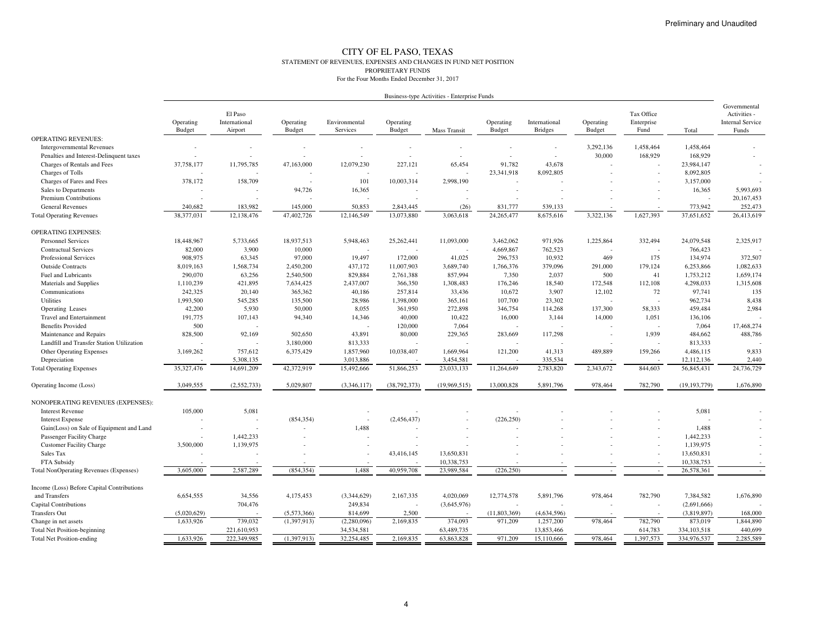#### CITY OF EL PASO, TEXAS STATEMENT OF REVENUES, EXPENSES AND CHANGES IN FUND NET POSITIONPROPRIETARY FUNDSFor the Four Months Ended December 31, 2017

|                                               |                            |                                     |                          |                           |                            | Business-type Activities - Enterprise Funds |                     |                                 |                            |                                  |                | Governmental<br>Activities -<br><b>Internal Service</b><br>Funds |
|-----------------------------------------------|----------------------------|-------------------------------------|--------------------------|---------------------------|----------------------------|---------------------------------------------|---------------------|---------------------------------|----------------------------|----------------------------------|----------------|------------------------------------------------------------------|
|                                               | Operating<br><b>Budget</b> | El Paso<br>International<br>Airport | Operating<br>Budget      | Environmental<br>Services | Operating<br><b>Budget</b> | Mass Transit                                | Operating<br>Budget | International<br><b>Bridges</b> | Operating<br><b>Budget</b> | Tax Office<br>Enterprise<br>Fund | Total          |                                                                  |
| <b>OPERATING REVENUES:</b>                    |                            |                                     |                          |                           |                            |                                             |                     |                                 |                            |                                  |                |                                                                  |
| <b>Intergovernmental Revenues</b>             |                            |                                     |                          |                           |                            |                                             |                     |                                 | 3,292,136                  | 1,458,464                        | 1,458,464      |                                                                  |
| Penalties and Interest-Delinquent taxes       |                            |                                     |                          |                           |                            |                                             |                     |                                 | 30,000                     | 168,929                          | 168,929        |                                                                  |
| Charges of Rentals and Fees                   | 37,758,177                 | 11,795,785                          | 47,163,000               | 12,079,230                | 227,121                    | 65,454                                      | 91,782              | 43,678                          |                            |                                  | 23,984,147     |                                                                  |
| Charges of Tolls                              |                            |                                     |                          |                           |                            |                                             | 23,341,918          | 8,092,805                       |                            |                                  | 8,092,805      |                                                                  |
| Charges of Fares and Fees                     | 378,172                    | 158,709                             | $\overline{\phantom{a}}$ | 101                       | 10,003,314                 | 2,998,190                                   |                     |                                 |                            |                                  | 3,157,000      |                                                                  |
| Sales to Departments                          |                            |                                     | 94,726                   | 16,365                    |                            |                                             |                     |                                 |                            |                                  | 16,365         | 5,993,693                                                        |
| Premium Contributions                         |                            |                                     |                          |                           |                            |                                             |                     |                                 |                            |                                  |                | 20, 167, 453                                                     |
| <b>General Revenues</b>                       | 240,682                    | 183,982                             | 145,000                  | 50,853                    | 2,843,445                  | (26)                                        | 831,777             | 539,133                         |                            |                                  | 773,942        | 252,473                                                          |
| <b>Total Operating Revenues</b>               | 38,377,031                 | 12,138,476                          | 47,402,726               | 12,146,549                | 13,073,880                 | 3,063,618                                   | 24,265,477          | 8,675,616                       | 3,322,136                  | 1,627,393                        | 37,651,652     | 26,413,619                                                       |
| <b>OPERATING EXPENSES:</b>                    |                            |                                     |                          |                           |                            |                                             |                     |                                 |                            |                                  |                |                                                                  |
| <b>Personnel Services</b>                     | 18,448,967                 | 5,733,665                           | 18,937,513               | 5,948,463                 | 25,262,441                 | 11,093,000                                  | 3,462,062           | 971,926                         | 1,225,864                  | 332,494                          | 24,079,548     | 2,325,917                                                        |
| <b>Contractual Services</b>                   | 82,000                     | 3,900                               | 10,000                   |                           |                            |                                             | 4,669,867           | 762,523                         |                            |                                  | 766,423        |                                                                  |
| Professional Services                         | 908,975                    | 63,345                              | 97,000                   | 19,497                    | 172,000                    | 41,025                                      | 296,753             | 10,932                          | 469                        | 175                              | 134,974        | 372,507                                                          |
| <b>Outside Contracts</b>                      | 8,019,163                  | 1,568,734                           | 2,450,200                | 437,172                   | 11,007,903                 | 3,689,740                                   | 1,766,376           | 379,096                         | 291,000                    | 179,124                          | 6,253,866      | 1,082,633                                                        |
| Fuel and Lubricants                           | 290,070                    | 63,256                              | 2,540,500                | 829,884                   | 2,761,388                  | 857,994                                     | 7,350               | 2,037                           | 500                        | 41                               | 1,753,212      | 1,659,174                                                        |
| Materials and Supplies                        | 1,110,239                  | 421,895                             | 7,634,425                | 2,437,007                 | 366,350                    | 1,308,483                                   | 176,246             | 18,540                          | 172,548                    | 112,108                          | 4,298,033      | 1,315,608                                                        |
| Communications                                | 242,325                    | 20,140                              | 365,362                  | 40,186                    | 257,814                    | 33,436                                      | 10,672              | 3,907                           | 12,102                     | 72                               | 97,741         | 135                                                              |
| Utilities                                     | 1,993,500                  | 545,285                             | 135,500                  | 28,986                    | 1,398,000                  | 365,161                                     | 107,700             | 23,302                          | $\overline{a}$             |                                  | 962,734        | 8,438                                                            |
| <b>Operating Leases</b>                       | 42,200                     | 5,930                               | 50,000                   | 8,055                     | 361,950                    | 272,898                                     | 346,754             | 114,268                         | 137,300                    | 58,333                           | 459,484        | 2,984                                                            |
| <b>Travel and Entertainment</b>               | 191,775                    | 107,143                             | 94,340                   | 14,346                    | 40,000                     | 10,422                                      | 16,000              | 3,144                           | 14,000                     | 1,051                            | 136,106        |                                                                  |
| <b>Benefits Provided</b>                      | 500                        |                                     |                          |                           | 120,000                    | 7,064                                       |                     |                                 |                            |                                  | 7,064          | 17,468,274                                                       |
| Maintenance and Repairs                       | 828,500                    | 92,169                              | 502,650                  | 43,891                    | 80,000                     | 229,365                                     | 283,669             | 117,298                         |                            | 1,939                            | 484,662        | 488,786                                                          |
| Landfill and Transfer Station Utilization     |                            |                                     | 3,180,000                | 813,333                   |                            |                                             |                     |                                 |                            |                                  | 813,333        |                                                                  |
| Other Operating Expenses                      | 3,169,262                  | 757,612                             | 6,375,429                | 1,857,960                 | 10,038,407                 | 1,669,964                                   | 121,200             | 41,313                          | 489,889                    | 159,266                          | 4,486,115      | 9,833                                                            |
| Depreciation                                  |                            | 5,308,135                           |                          | 3,013,886                 |                            | 3,454,581                                   |                     | 335,534                         |                            |                                  | 12,112,136     | 2,440                                                            |
| <b>Total Operating Expenses</b>               | 35,327,476                 | 14,691,209                          | 42,372,919               | 15,492,666                | 51,866,253                 | 23,033,133                                  | 11,264,649          | 2,783,820                       | 2,343,672                  | 844,603                          | 56,845,431     | 24,736,729                                                       |
| Operating Income (Loss)                       | 3,049,555                  | (2,552,733)                         | 5,029,807                | (3,346,117)               | (38, 792, 373)             | (19,969,515)                                | 13,000,828          | 5,891,796                       | 978,464                    | 782,790                          | (19, 193, 779) | 1,676,890                                                        |
| NONOPERATING REVENUES (EXPENSES):             |                            |                                     |                          |                           |                            |                                             |                     |                                 |                            |                                  |                |                                                                  |
| <b>Interest Revenue</b>                       | 105,000                    | 5,081                               |                          |                           |                            |                                             |                     |                                 |                            |                                  | 5,081          |                                                                  |
| <b>Interest Expense</b>                       |                            |                                     | (854, 354)               |                           | (2,456,437)                |                                             | (226, 250)          |                                 |                            |                                  |                |                                                                  |
| Gain(Loss) on Sale of Equipment and Land      |                            |                                     |                          | 1,488                     |                            |                                             |                     |                                 |                            |                                  | 1,488          |                                                                  |
| Passenger Facility Charge                     |                            | 1,442,233                           |                          |                           |                            |                                             |                     |                                 |                            |                                  | 1,442,233      |                                                                  |
| <b>Customer Facility Charge</b>               | 3,500,000                  | 1,139,975                           |                          |                           |                            |                                             |                     |                                 |                            |                                  | 1,139,975      |                                                                  |
| Sales Tax                                     |                            |                                     |                          |                           | 43,416,145                 | 13,650,831                                  |                     |                                 |                            |                                  | 13,650,831     |                                                                  |
| FTA Subsidy                                   |                            |                                     |                          |                           |                            | 10,338,753                                  |                     |                                 |                            |                                  | 10,338,753     |                                                                  |
| <b>Total NonOperating Revenues (Expenses)</b> | 3,605,000                  | 2,587,289                           | (854, 354)               | 1,488                     | 40,959,708                 | 23,989,584                                  | (226, 250)          | $\sim$                          | $\sim$                     | $\sim$                           | 26,578,361     | $\sim$                                                           |
| Income (Loss) Before Capital Contributions    |                            |                                     |                          |                           |                            |                                             |                     |                                 |                            |                                  |                |                                                                  |
| and Transfers                                 | 6,654,555                  | 34,556                              | 4,175,453                | (3,344,629)               | 2,167,335                  | 4,020,069                                   | 12,774,578          | 5,891,796                       | 978,464                    | 782,790                          | 7,384,582      | 1,676,890                                                        |
| <b>Capital Contributions</b>                  |                            | 704,476                             |                          | 249,834                   |                            | (3,645,976)                                 |                     |                                 |                            |                                  | (2,691,666)    |                                                                  |
| <b>Transfers Out</b>                          | (5,020,629)                |                                     | (5,573,366)              | 814,699                   | 2,500                      |                                             | (11,803,369)        | (4,634,596)                     |                            |                                  | (3,819,897)    | 168,000                                                          |
| Change in net assets                          | 1,633,926                  | 739,032                             | (1,397,913)              | (2,280,096)               | 2,169,835                  | 374,093                                     | 971,209             | 1,257,200                       | 978,464                    | 782,790                          | 873,019        | 1,844,890                                                        |
| <b>Total Net Position-beginning</b>           |                            | 221,610,953                         |                          | 34,534,581                |                            | 63,489,735                                  |                     | 13,853,466                      |                            | 614,783                          | 334,103,518    | 440,699                                                          |
| <b>Total Net Position-ending</b>              | 1,633,926                  | 222,349,985                         | (1, 397, 913)            | 32,254,485                | 2,169,835                  | 63,863,828                                  | 971,209             | 15,110,666                      | 978,464                    | 1,397,573                        | 334,976,537    | 2,285,589                                                        |
|                                               |                            |                                     |                          |                           |                            |                                             |                     |                                 |                            |                                  |                |                                                                  |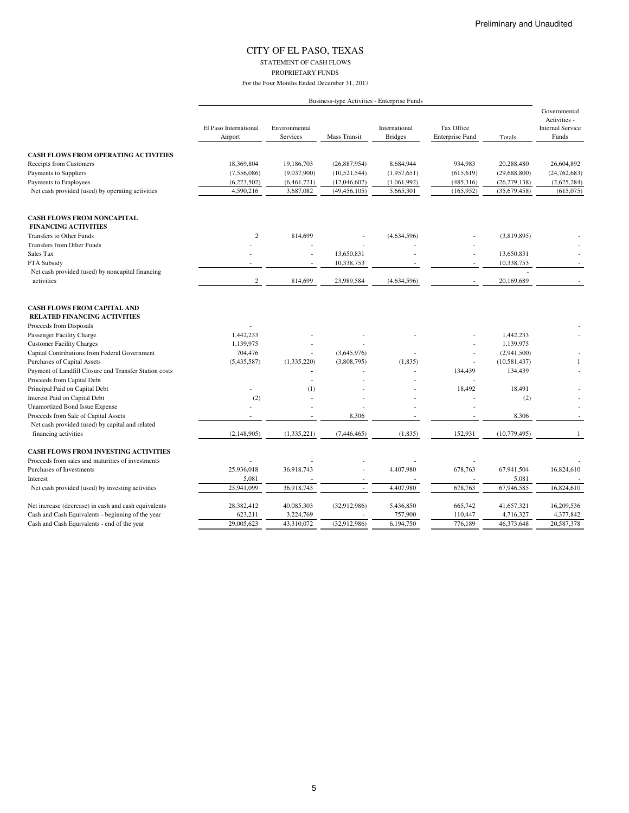## CITY OF EL PASO, TEXAS STATEMENT OF CASH FLOWS

PROPRIETARY FUNDS

For the Four Months Ended December 31, 2017

|                                                                           |                                  |                           |                | Business-type Activities - Enterprise Funds |                                      |                |                                                                  |
|---------------------------------------------------------------------------|----------------------------------|---------------------------|----------------|---------------------------------------------|--------------------------------------|----------------|------------------------------------------------------------------|
|                                                                           | El Paso International<br>Airport | Environmental<br>Services | Mass Transit   | International<br><b>Bridges</b>             | Tax Office<br><b>Enterprise Fund</b> | Totals         | Governmental<br>Activities -<br><b>Internal Service</b><br>Funds |
| <b>CASH FLOWS FROM OPERATING ACTIVITIES</b>                               |                                  |                           |                |                                             |                                      |                |                                                                  |
| Receipts from Customers                                                   | 18,369,804                       | 19,186,703                | (26,887,954)   | 8,684,944                                   | 934,983                              | 20,288,480     | 26,604,892                                                       |
| Payments to Suppliers                                                     | (7,556,086)                      | (9,037,900)               | (10,521,544)   | (1,957,651)                                 | (615, 619)                           | (29, 688, 800) | (24, 762, 683)                                                   |
| Payments to Employees                                                     | (6,223,502)                      | (6,461,721)               | (12,046,607)   | (1,061,992)                                 | (485,316)                            | (26, 279, 138) | (2,625,284)                                                      |
| Net cash provided (used) by operating activities                          | 4,590,216                        | 3,687,082                 | (49, 456, 105) | 5,665,301                                   | (165, 952)                           | (35,679,458)   | (615,075)                                                        |
| <b>CASH FLOWS FROM NONCAPITAL</b>                                         |                                  |                           |                |                                             |                                      |                |                                                                  |
| <b>FINANCING ACTIVITIES</b>                                               |                                  |                           |                |                                             |                                      |                |                                                                  |
| Transfers to Other Funds                                                  | $\mathbf{2}$                     | 814,699                   |                | (4,634,596)                                 |                                      | (3,819,895)    |                                                                  |
| <b>Transfers from Other Funds</b>                                         |                                  |                           |                |                                             |                                      |                |                                                                  |
| Sales Tax                                                                 |                                  | Ĭ.                        | 13,650,831     |                                             |                                      | 13,650,831     |                                                                  |
| FTA Subsidy                                                               |                                  |                           | 10,338,753     |                                             |                                      | 10,338,753     |                                                                  |
| Net cash provided (used) by noncapital financing                          |                                  |                           |                |                                             |                                      |                |                                                                  |
| activities                                                                | $\boldsymbol{2}$                 | 814,699                   | 23,989,584     | (4,634,596)                                 |                                      | 20,169,689     |                                                                  |
| <b>CASH FLOWS FROM CAPITAL AND</b><br><b>RELATED FINANCING ACTIVITIES</b> |                                  |                           |                |                                             |                                      |                |                                                                  |
| Proceeds from Disposals                                                   |                                  |                           |                |                                             |                                      |                |                                                                  |
| Passenger Facility Charge                                                 | 1,442,233                        |                           |                |                                             |                                      | 1,442,233      |                                                                  |
| <b>Customer Facility Charges</b>                                          | 1,139,975                        |                           |                |                                             |                                      | 1,139,975      |                                                                  |
| Capital Contributions from Federal Government                             | 704,476                          | ٠                         | (3,645,976)    |                                             | $\overline{a}$                       | (2,941,500)    |                                                                  |
| <b>Purchases of Capital Assets</b>                                        | (5,435,587)                      | (1,335,220)               | (3,808,795)    | (1, 835)                                    |                                      | (10, 581, 437) | $\mathbf{1}$                                                     |
| Payment of Landfill Closure and Transfer Station costs                    |                                  |                           |                |                                             | 134,439                              | 134,439        |                                                                  |
| Proceeds from Capital Debt                                                |                                  |                           |                |                                             |                                      |                |                                                                  |
| Principal Paid on Capital Debt                                            |                                  | (1)                       |                |                                             | 18,492                               | 18,491         |                                                                  |
| Interest Paid on Capital Debt                                             | (2)                              |                           |                |                                             |                                      | (2)            |                                                                  |
| <b>Unamortized Bond Issue Expense</b>                                     |                                  |                           |                |                                             |                                      |                |                                                                  |
| Proceeds from Sale of Capital Assets                                      |                                  |                           | 8,306          |                                             |                                      | 8,306          |                                                                  |
| Net cash provided (used) by capital and related                           |                                  |                           |                |                                             |                                      |                |                                                                  |
| financing activities                                                      | (2,148,905)                      | (1, 335, 221)             | (7,446,465)    | (1, 835)                                    | 152,931                              | (10, 779, 495) | $\mathbf{1}$                                                     |
| <b>CASH FLOWS FROM INVESTING ACTIVITIES</b>                               |                                  |                           |                |                                             |                                      |                |                                                                  |
| Proceeds from sales and maturities of investments                         |                                  |                           |                |                                             |                                      |                |                                                                  |
| Purchases of Investments                                                  | 25,936,018                       | 36,918,743                |                | 4,407,980                                   | 678,763                              | 67,941,504     | 16,824,610                                                       |
| Interest                                                                  | 5,081                            |                           |                | $\overline{\phantom{a}}$                    |                                      | 5,081          |                                                                  |
| Net cash provided (used) by investing activities                          | 25,941,099                       | 36,918,743                |                | 4,407,980                                   | 678,763                              | 67,946,585     | 16,824,610                                                       |
| Net increase (decrease) in cash and cash equivalents                      | 28,382,412                       | 40,085,303                | (32,912,986)   | 5,436,850                                   | 665,742                              | 41,657,321     | 16,209,536                                                       |
| Cash and Cash Equivalents - beginning of the year                         | 623,211                          | 3,224,769                 |                | 757,900                                     | 110,447                              | 4,716,327      | 4,377,842                                                        |
| Cash and Cash Equivalents - end of the year                               | 29,005,623                       | 43,310,072                | (32,912,986)   | 6,194,750                                   | 776,189                              | 46,373,648     | 20,587,378                                                       |

### 5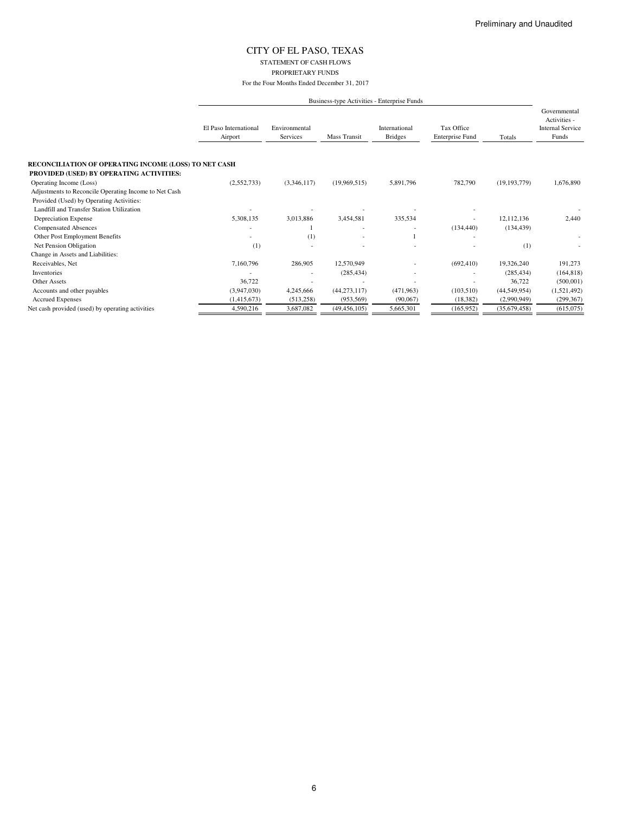## CITY OF EL PASO, TEXAS STATEMENT OF CASH FLOWS

PROPRIETARY FUNDS

|                                                       |                                  | Business-type Activities - Enterprise Funds |                |                                 |                               |                |                                                                  |  |  |
|-------------------------------------------------------|----------------------------------|---------------------------------------------|----------------|---------------------------------|-------------------------------|----------------|------------------------------------------------------------------|--|--|
|                                                       | El Paso International<br>Airport | Environmental<br>Services                   | Mass Transit   | International<br><b>Bridges</b> | Tax Office<br>Enterprise Fund | Totals         | Governmental<br>Activities -<br><b>Internal Service</b><br>Funds |  |  |
| RECONCILIATION OF OPERATING INCOME (LOSS) TO NET CASH |                                  |                                             |                |                                 |                               |                |                                                                  |  |  |
| PROVIDED (USED) BY OPERATING ACTIVITIES:              |                                  |                                             |                |                                 |                               |                |                                                                  |  |  |
| Operating Income (Loss)                               | (2,552,733)                      | (3,346,117)                                 | (19,969,515)   | 5,891,796                       | 782,790                       | (19, 193, 779) | 1,676,890                                                        |  |  |
| Adjustments to Reconcile Operating Income to Net Cash |                                  |                                             |                |                                 |                               |                |                                                                  |  |  |
| Provided (Used) by Operating Activities:              |                                  |                                             |                |                                 |                               |                |                                                                  |  |  |
| Landfill and Transfer Station Utilization             |                                  |                                             |                |                                 |                               |                |                                                                  |  |  |
| Depreciation Expense                                  | 5,308,135                        | 3,013,886                                   | 3,454,581      | 335,534                         |                               | 12,112,136     | 2,440                                                            |  |  |
| <b>Compensated Absences</b>                           |                                  |                                             |                |                                 | (134, 440)                    | (134, 439)     |                                                                  |  |  |
| Other Post Employment Benefits                        |                                  | (1)                                         |                |                                 |                               |                |                                                                  |  |  |
| Net Pension Obligation                                | (1)                              |                                             |                |                                 |                               | (1)            |                                                                  |  |  |
| Change in Assets and Liabilities:                     |                                  |                                             |                |                                 |                               |                |                                                                  |  |  |
| Receivables, Net                                      | 7,160,796                        | 286,905                                     | 12,570,949     |                                 | (692, 410)                    | 19,326,240     | 191,273                                                          |  |  |
| Inventories                                           |                                  |                                             | (285, 434)     |                                 |                               | (285, 434)     | (164, 818)                                                       |  |  |
| Other Assets                                          | 36,722                           |                                             |                |                                 |                               | 36,722         | (500,001)                                                        |  |  |
| Accounts and other payables                           | (3,947,030)                      | 4,245,666                                   | (44, 273, 117) | (471,963)                       | (103,510)                     | (44, 549, 954) | (1,521,492)                                                      |  |  |
| <b>Accrued Expenses</b>                               | (1,415,673)                      | (513, 258)                                  | (953, 569)     | (90,067)                        | (18, 382)                     | (2,990,949)    | (299, 367)                                                       |  |  |
| Net cash provided (used) by operating activities      | 4,590,216                        | 3.687.082                                   | (49, 456, 105) | 5,665,301                       | (165, 952)                    | (35,679,458)   | (615,075)                                                        |  |  |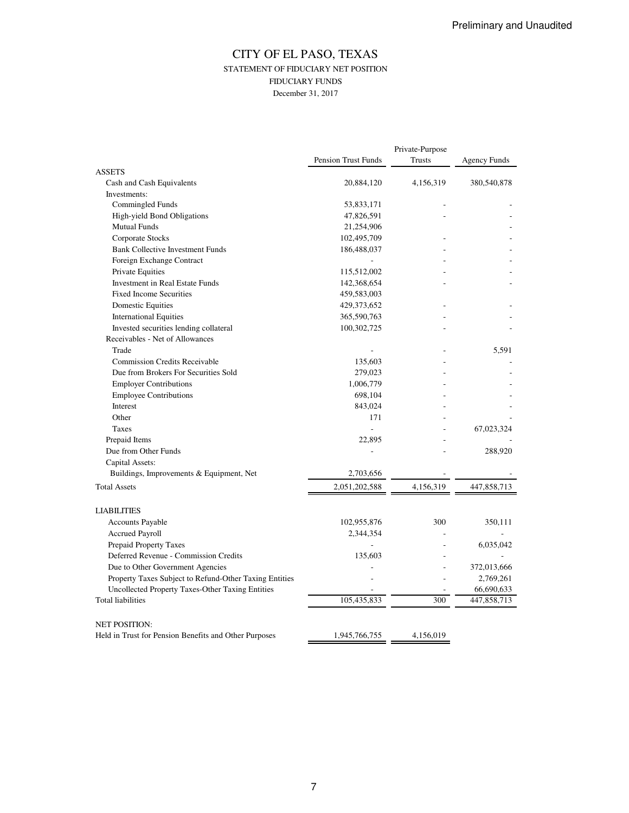## CITY OF EL PASO, TEXAS STATEMENT OF FIDUCIARY NET POSITION FIDUCIARY FUNDS December 31, 2017

|                                                                              |                            | Private-Purpose |                     |  |
|------------------------------------------------------------------------------|----------------------------|-----------------|---------------------|--|
|                                                                              | <b>Pension Trust Funds</b> | Trusts          | <b>Agency Funds</b> |  |
| <b>ASSETS</b>                                                                |                            |                 |                     |  |
| Cash and Cash Equivalents                                                    | 20,884,120                 | 4,156,319       | 380,540,878         |  |
| Investments:                                                                 |                            |                 |                     |  |
| Commingled Funds                                                             | 53,833,171                 |                 |                     |  |
| High-yield Bond Obligations                                                  | 47,826,591                 |                 |                     |  |
| <b>Mutual Funds</b>                                                          | 21,254,906                 |                 |                     |  |
| Corporate Stocks                                                             | 102,495,709                |                 |                     |  |
| <b>Bank Collective Investment Funds</b>                                      | 186,488,037                |                 |                     |  |
| Foreign Exchange Contract                                                    |                            |                 |                     |  |
| Private Equities                                                             | 115,512,002                |                 |                     |  |
| <b>Investment in Real Estate Funds</b>                                       | 142,368,654                |                 |                     |  |
| <b>Fixed Income Securities</b>                                               | 459,583,003                |                 |                     |  |
| <b>Domestic Equities</b>                                                     | 429, 373, 652              |                 |                     |  |
| <b>International Equities</b>                                                | 365,590,763                |                 |                     |  |
| Invested securities lending collateral                                       | 100,302,725                |                 |                     |  |
| Receivables - Net of Allowances                                              |                            |                 |                     |  |
| Trade                                                                        |                            |                 | 5,591               |  |
| <b>Commission Credits Receivable</b>                                         | 135,603                    |                 |                     |  |
| Due from Brokers For Securities Sold                                         | 279,023                    |                 |                     |  |
| <b>Employer Contributions</b>                                                | 1,006,779                  |                 |                     |  |
| <b>Employee Contributions</b>                                                | 698,104                    |                 |                     |  |
| Interest                                                                     | 843,024                    |                 |                     |  |
| Other                                                                        | 171                        |                 |                     |  |
| Taxes                                                                        | L.                         |                 | 67,023,324          |  |
| Prepaid Items                                                                | 22,895                     |                 |                     |  |
| Due from Other Funds                                                         | ÷                          |                 | 288,920             |  |
| Capital Assets:                                                              |                            |                 |                     |  |
| Buildings, Improvements & Equipment, Net                                     | 2,703,656                  |                 |                     |  |
| <b>Total Assets</b>                                                          | 2,051,202,588              | 4,156,319       | 447,858,713         |  |
| <b>LIABILITIES</b>                                                           |                            |                 |                     |  |
| <b>Accounts Payable</b>                                                      | 102,955,876                | 300             | 350,111             |  |
| <b>Accrued Payroll</b>                                                       | 2,344,354                  |                 |                     |  |
| <b>Prepaid Property Taxes</b>                                                | L,                         |                 | 6,035,042           |  |
| Deferred Revenue - Commission Credits                                        | 135,603                    |                 |                     |  |
|                                                                              |                            |                 | 372,013,666         |  |
| Due to Other Government Agencies                                             |                            |                 |                     |  |
| Property Taxes Subject to Refund-Other Taxing Entities                       |                            |                 | 2,769,261           |  |
| Uncollected Property Taxes-Other Taxing Entities<br><b>Total liabilities</b> | 105,435,833                | 300             | 66,690,633          |  |
|                                                                              |                            |                 | 447,858,713         |  |
| <b>NET POSITION:</b>                                                         |                            |                 |                     |  |
| Held in Trust for Pension Benefits and Other Purposes                        | 1,945,766,755              | 4,156,019       |                     |  |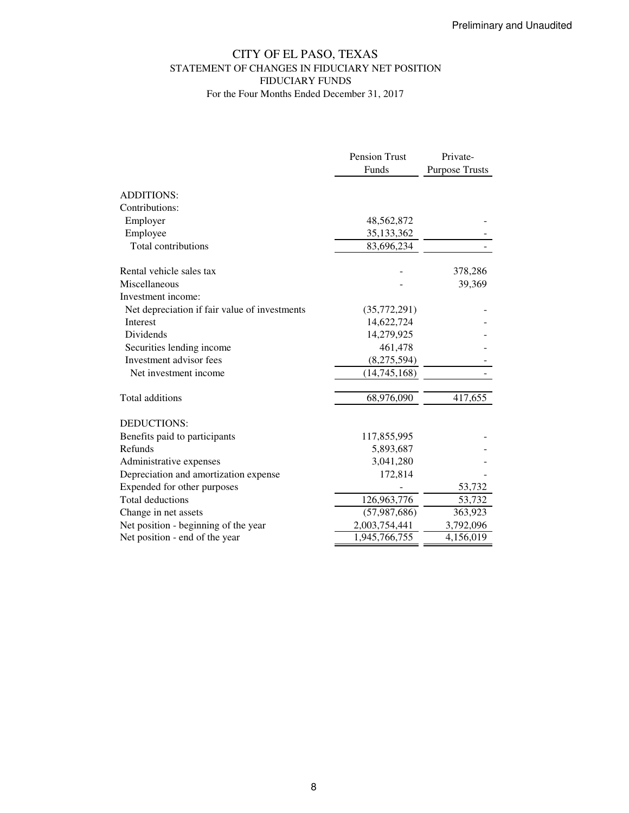# CITY OF EL PASO, TEXAS STATEMENT OF CHANGES IN FIDUCIARY NET POSITION FIDUCIARY FUNDS For the Four Months Ended December 31, 2017

|                                               | <b>Pension Trust</b> | Private-              |
|-----------------------------------------------|----------------------|-----------------------|
|                                               | Funds                | <b>Purpose Trusts</b> |
| <b>ADDITIONS:</b>                             |                      |                       |
| Contributions:                                |                      |                       |
| Employer                                      | 48,562,872           |                       |
| Employee                                      | 35,133,362           |                       |
| Total contributions                           | 83,696,234           |                       |
| Rental vehicle sales tax                      |                      | 378,286               |
| Miscellaneous                                 |                      | 39,369                |
| Investment income:                            |                      |                       |
| Net depreciation if fair value of investments | (35,772,291)         |                       |
| <b>Interest</b>                               | 14,622,724           |                       |
| <b>Dividends</b>                              | 14,279,925           |                       |
| Securities lending income                     | 461,478              |                       |
| Investment advisor fees                       | (8,275,594)          |                       |
| Net investment income                         | (14,745,168)         |                       |
| Total additions                               | 68,976,090           | 417,655               |
| <b>DEDUCTIONS:</b>                            |                      |                       |
| Benefits paid to participants                 | 117,855,995          |                       |
| Refunds                                       | 5,893,687            |                       |
| Administrative expenses                       | 3,041,280            |                       |
| Depreciation and amortization expense         | 172,814              |                       |
| Expended for other purposes                   |                      | 53,732                |
| <b>Total deductions</b>                       | 126,963,776          | 53,732                |
| Change in net assets                          | (57, 987, 686)       | 363,923               |
| Net position - beginning of the year          | 2,003,754,441        | 3,792,096             |
| Net position - end of the year                | 1,945,766,755        | 4,156,019             |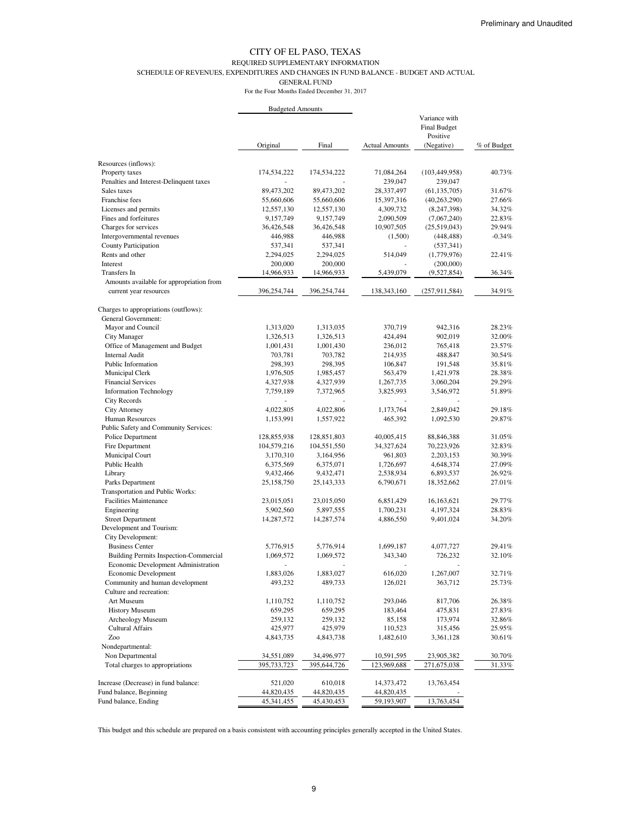#### REQUIRED SUPPLEMENTARY INFORMATION

SCHEDULE OF REVENUES, EXPENDITURES AND CHANGES IN FUND BALANCE - BUDGET AND ACTUAL

GENERAL FUND

For the Four Months Ended December 31, 2017

|                                                                    | <b>Budgeted Amounts</b> |                       |                          |                                           |             |
|--------------------------------------------------------------------|-------------------------|-----------------------|--------------------------|-------------------------------------------|-------------|
|                                                                    |                         |                       |                          | Variance with<br>Final Budget<br>Positive |             |
|                                                                    | Original                | Final                 | <b>Actual Amounts</b>    | (Negative)                                | % of Budget |
| Resources (inflows):                                               |                         |                       |                          |                                           |             |
| Property taxes                                                     | 174,534,222             | 174,534,222           | 71,084,264               | (103, 449, 958)                           | 40.73%      |
| Penalties and Interest-Delinquent taxes                            |                         |                       | 239,047                  | 239,047                                   |             |
| Sales taxes                                                        | 89,473,202              | 89,473,202            | 28,337,497               | (61, 135, 705)                            | 31.67%      |
| Franchise fees                                                     | 55,660,606              | 55,660,606            | 15,397,316               | (40, 263, 290)                            | 27.66%      |
| Licenses and permits                                               | 12,557,130              | 12,557,130            | 4,309,732                | (8,247,398)                               | 34.32%      |
| Fines and forfeitures                                              | 9,157,749               | 9,157,749             | 2,090,509                | (7,067,240)                               | 22.83%      |
| Charges for services                                               | 36,426,548              | 36,426,548            | 10,907,505               | (25,519,043)                              | 29.94%      |
| Intergovernmental revenues                                         | 446,988                 | 446,988               | (1,500)                  | (448, 488)                                | $-0.34%$    |
| County Participation                                               | 537,341                 | 537,341               |                          | (537, 341)                                |             |
| Rents and other                                                    | 2,294,025               | 2,294,025             | 514,049                  | (1,779,976)                               | 22.41%      |
| Interest                                                           | 200,000                 | 200,000               |                          | (200,000)                                 |             |
| Transfers In                                                       | 14,966,933              | 14,966,933            | 5,439,079                | (9,527,854)                               | 36.34%      |
| Amounts available for appropriation from<br>current year resources | 396,254,744             | 396,254,744           | 138, 343, 160            | (257, 911, 584)                           | 34.91%      |
|                                                                    |                         |                       |                          |                                           |             |
| Charges to appropriations (outflows):                              |                         |                       |                          |                                           |             |
| General Government:                                                |                         | 1,313,035             |                          |                                           | 28.23%      |
| Mayor and Council<br>City Manager                                  | 1,313,020<br>1,326,513  | 1,326,513             | 370,719<br>424,494       | 942,316<br>902,019                        | 32.00%      |
| Office of Management and Budget                                    | 1,001,431               | 1,001,430             | 236,012                  | 765,418                                   | 23.57%      |
| <b>Internal Audit</b>                                              | 703,781                 | 703,782               | 214,935                  | 488,847                                   | 30.54%      |
| Public Information                                                 | 298,393                 | 298,395               | 106,847                  | 191,548                                   | 35.81%      |
| <b>Municipal Clerk</b>                                             | 1,976,505               | 1,985,457             | 563,479                  | 1,421,978                                 | 28.38%      |
| <b>Financial Services</b>                                          | 4,327,938               | 4,327,939             | 1,267,735                | 3,060,204                                 | 29.29%      |
| <b>Information Technology</b>                                      | 7,759,189               | 7,372,965             | 3,825,993                | 3,546,972                                 | 51.89%      |
| City Records                                                       |                         |                       |                          |                                           |             |
| City Attorney                                                      | 4,022,805               | 4,022,806             | 1,173,764                | 2,849,042                                 | 29.18%      |
| Human Resources                                                    | 1,153,991               | 1,557,922             | 465,392                  | 1,092,530                                 | 29.87%      |
| Public Safety and Community Services:                              |                         |                       |                          |                                           |             |
| Police Department                                                  | 128,855,938             | 128,851,803           | 40,005,415               | 88, 846, 388                              | 31.05%      |
| Fire Department                                                    | 104,579,216             | 104,551,550           | 34,327,624               | 70,223,926                                | 32.83%      |
| Municipal Court                                                    | 3,170,310               | 3,164,956             | 961,803                  | 2,203,153                                 | 30.39%      |
| Public Health                                                      | 6,375,569               | 6,375,071             | 1,726,697                | 4,648,374                                 | 27.09%      |
| Library                                                            | 9,432,466               | 9,432,471             | 2,538,934                | 6,893,537                                 | 26.92%      |
| Parks Department                                                   | 25,158,750              | 25, 143, 333          | 6,790,671                | 18,352,662                                | 27.01%      |
| Transportation and Public Works:                                   |                         |                       |                          |                                           |             |
| <b>Facilities Maintenance</b>                                      | 23,015,051              | 23,015,050            | 6,851,429                | 16, 163, 621                              | 29.77%      |
| Engineering                                                        | 5,902,560               | 5,897,555             | 1,700,231                | 4,197,324                                 | 28.83%      |
| <b>Street Department</b>                                           | 14,287,572              | 14,287,574            | 4,886,550                | 9,401,024                                 | 34.20%      |
| Development and Tourism:                                           |                         |                       |                          |                                           |             |
| City Development:                                                  |                         |                       |                          |                                           |             |
| <b>Business Center</b>                                             | 5,776,915               | 5,776,914             | 1,699,187                | 4,077,727                                 | 29.41%      |
| <b>Building Permits Inspection-Commercial</b>                      | 1,069,572               | 1,069,572             | 343,340                  | 726,232                                   | 32.10%      |
| <b>Economic Development Administration</b>                         |                         |                       |                          |                                           |             |
| Economic Development                                               | 1,883,026               | 1,883,027             | 616,020                  | 1,267,007                                 | 32.71%      |
| Community and human development<br>Culture and recreation:         | 493,232                 | 489,733               | 126,021                  | 363,712                                   | 25.73%      |
| Art Museum                                                         | 1,110,752               | 1,110,752             | 293,046                  | 817,706                                   | 26.38%      |
| <b>History Museum</b>                                              | 659,295                 | 659,295               | 183,464                  | 475,831                                   | 27.83%      |
| Archeology Museum                                                  | 259,132                 | 259,132               | 85,158                   | 173,974                                   | 32.86%      |
| <b>Cultural Affairs</b>                                            | 425,977                 | 425,979               | 110,523                  | 315,456                                   | 25.95%      |
| Zoo                                                                | 4,843,735               | 4,843,738             | 1,482,610                | 3,361,128                                 | 30.61%      |
| Nondepartmental:                                                   |                         |                       |                          |                                           |             |
| Non Departmental                                                   | 34,551,089              | 34,496,977            | 10,591,595               | 23,905,382                                | 30.70%      |
| Total charges to appropriations                                    | 395,733,723             | 395,644,726           | 123,969,688              | 271,675,038                               | 31.33%      |
|                                                                    |                         |                       |                          |                                           |             |
| Increase (Decrease) in fund balance:<br>Fund balance, Beginning    | 521,020<br>44,820,435   | 610,018<br>44,820,435 | 14,373,472               | 13,763,454                                |             |
| Fund balance, Ending                                               | 45,341,455              | 45,430,453            | 44,820,435<br>59,193,907 | 13,763,454                                |             |
|                                                                    |                         |                       |                          |                                           |             |

This budget and this schedule are prepared on a basis consistent with accounting principles generally accepted in the United States.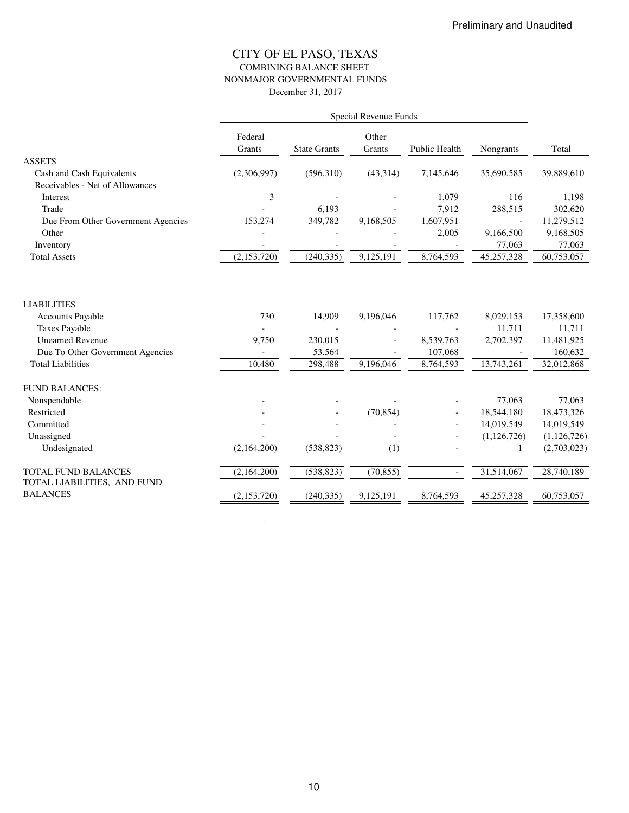## CITY OF EL PASO, TEXAS COMBINING BALANCE SHEET NONMAJOR GOVERNMENTAL FUNDS December 31, 2017

|                                                                                                                                                                  | Special Revenue Funds  |                                        |                        |                                              |                                                |                                                             |  |
|------------------------------------------------------------------------------------------------------------------------------------------------------------------|------------------------|----------------------------------------|------------------------|----------------------------------------------|------------------------------------------------|-------------------------------------------------------------|--|
|                                                                                                                                                                  | Federal<br>Grants      | <b>State Grants</b>                    | Other<br>Grants        | Public Health                                | Nongrants                                      | Total                                                       |  |
| <b>ASSETS</b>                                                                                                                                                    |                        |                                        |                        |                                              |                                                |                                                             |  |
| Cash and Cash Equivalents                                                                                                                                        | (2,306,997)            | (596,310)                              | (43,314)               | 7,145,646                                    | 35,690,585                                     | 39,889,610                                                  |  |
| Receivables - Net of Allowances                                                                                                                                  |                        |                                        |                        |                                              |                                                |                                                             |  |
| Interest                                                                                                                                                         | 3                      |                                        |                        | 1,079                                        | 116                                            | 1,198                                                       |  |
| Trade                                                                                                                                                            |                        | 6,193                                  |                        | 7,912                                        | 288,515                                        | 302,620                                                     |  |
| Due From Other Government Agencies                                                                                                                               | 153,274                | 349,782                                | 9,168,505              | 1,607,951                                    | $\overline{\phantom{a}}$                       | 11,279,512                                                  |  |
| Other                                                                                                                                                            |                        |                                        |                        | 2,005                                        | 9,166,500                                      | 9,168,505                                                   |  |
| Inventory                                                                                                                                                        |                        |                                        |                        |                                              | 77,063                                         | 77,063                                                      |  |
| <b>Total Assets</b>                                                                                                                                              | (2,153,720)            | (240, 335)                             | 9,125,191              | 8,764,593                                    | 45,257,328                                     | 60,753,057                                                  |  |
| <b>LIABILITIES</b><br><b>Accounts Payable</b><br><b>Taxes Payable</b><br><b>Unearned Revenue</b><br>Due To Other Government Agencies<br><b>Total Liabilities</b> | 730<br>9,750<br>10,480 | 14,909<br>230,015<br>53,564<br>298,488 | 9,196,046<br>9,196,046 | 117,762<br>8,539,763<br>107,068<br>8,764,593 | 8,029,153<br>11,711<br>2,702,397<br>13,743,261 | 17,358,600<br>11,711<br>11,481,925<br>160,632<br>32,012,868 |  |
| <b>FUND BALANCES:</b>                                                                                                                                            |                        |                                        |                        |                                              |                                                |                                                             |  |
| Nonspendable                                                                                                                                                     |                        |                                        |                        |                                              | 77,063                                         | 77,063                                                      |  |
| Restricted                                                                                                                                                       |                        |                                        | (70, 854)              |                                              | 18,544,180                                     | 18,473,326                                                  |  |
| Committed                                                                                                                                                        |                        |                                        |                        |                                              | 14,019,549                                     | 14,019,549                                                  |  |
| Unassigned                                                                                                                                                       |                        |                                        |                        |                                              | (1,126,726)                                    | (1,126,726)                                                 |  |
| Undesignated                                                                                                                                                     | (2,164,200)            | (538, 823)                             | (1)                    |                                              | 1                                              | (2,703,023)                                                 |  |
| TOTAL FUND BALANCES<br>TOTAL LIABILITIES, AND FUND                                                                                                               | (2,164,200)            | (538, 823)                             | (70, 855)              |                                              | 31,514,067                                     | 28,740,189                                                  |  |
| <b>BALANCES</b>                                                                                                                                                  | (2,153,720)            | (240, 335)                             | 9,125,191              | 8,764,593                                    | 45,257,328                                     | 60,753,057                                                  |  |

- 100 minutes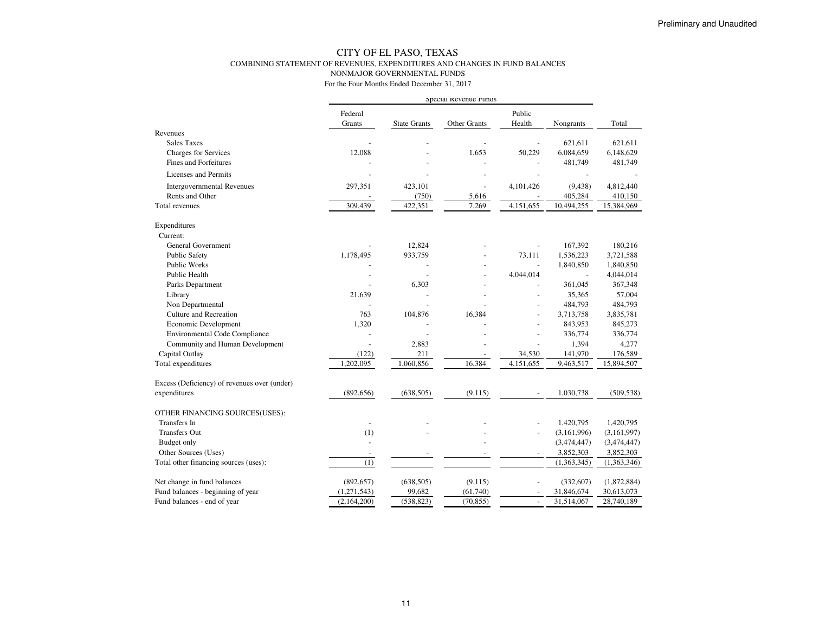## CITY OF EL PASO, TEXAS COMBINING STATEMENT OF REVENUES, EXPENDITURES AND CHANGES IN FUND BALANCESNONMAJOR GOVERNMENTAL FUNDS

|                                              | Special Revenue Funds    |                     |              |                |                          |             |
|----------------------------------------------|--------------------------|---------------------|--------------|----------------|--------------------------|-------------|
|                                              | Federal                  |                     |              | Public         |                          |             |
|                                              | Grants                   | <b>State Grants</b> | Other Grants | Health         | Nongrants                | Total       |
| Revenues                                     |                          |                     |              |                |                          |             |
| <b>Sales Taxes</b>                           |                          |                     |              |                | 621,611                  | 621,611     |
| Charges for Services                         | 12,088                   |                     | 1,653        | 50,229         | 6,084,659                | 6,148,629   |
| <b>Fines and Forfeitures</b>                 |                          |                     |              |                | 481,749                  | 481,749     |
| <b>Licenses and Permits</b>                  |                          |                     |              |                |                          |             |
| <b>Intergovernmental Revenues</b>            | 297,351                  | 423,101             | ÷,           | 4,101,426      | (9, 438)                 | 4,812,440   |
| Rents and Other                              |                          | (750)               | 5,616        |                | 405,284                  | 410,150     |
| Total revenues                               | 309,439                  | 422,351             | 7,269        | 4,151,655      | 10,494,255               | 15,384,969  |
| Expenditures                                 |                          |                     |              |                |                          |             |
| Current:                                     |                          |                     |              |                |                          |             |
| General Government                           |                          | 12,824              |              |                | 167,392                  | 180,216     |
| <b>Public Safety</b>                         | 1,178,495                | 933,759             |              | 73,111         | 1,536,223                | 3,721,588   |
| Public Works                                 |                          |                     |              | L,             | 1,840,850                | 1,840,850   |
| Public Health                                |                          |                     |              | 4,044,014      | $\overline{\phantom{a}}$ | 4,044,014   |
| Parks Department                             |                          | 6,303               |              |                | 361,045                  | 367,348     |
| Library                                      | 21,639                   |                     |              |                | 35,365                   | 57,004      |
| Non Departmental                             |                          |                     |              |                | 484,793                  | 484,793     |
| Culture and Recreation                       | 763                      | 104,876             | 16,384       | $\sim$         | 3,713,758                | 3,835,781   |
| Economic Development                         | 1,320                    |                     |              |                | 843,953                  | 845,273     |
| <b>Environmental Code Compliance</b>         |                          |                     |              |                | 336,774                  | 336,774     |
| Community and Human Development              |                          | 2,883               |              |                | 1,394                    | 4,277       |
| Capital Outlay                               | (122)                    | 211                 |              | 34,530         | 141,970                  | 176,589     |
| Total expenditures                           | 1,202,095                | 1,060,856           | 16,384       | 4,151,655      | 9,463,517                | 15,894,507  |
| Excess (Deficiency) of revenues over (under) |                          |                     |              |                |                          |             |
| expenditures                                 | (892, 656)               | (638, 505)          | (9,115)      |                | 1,030,738                | (509, 538)  |
| OTHER FINANCING SOURCES(USES):               |                          |                     |              |                |                          |             |
| <b>Transfers</b> In                          | $\overline{\phantom{a}}$ |                     |              |                | 1,420,795                | 1,420,795   |
| Transfers Out                                | (1)                      |                     |              |                | (3,161,996)              | (3,161,997) |
| Budget only                                  |                          |                     |              |                | (3,474,447)              | (3,474,447) |
| Other Sources (Uses)                         | $\overline{\phantom{a}}$ |                     |              |                | 3,852,303                | 3,852,303   |
| Total other financing sources (uses):        | (1)                      |                     |              |                | (1,363,345)              | (1,363,346) |
| Net change in fund balances                  | (892, 657)               | (638, 505)          | (9, 115)     |                | (332, 607)               | (1,872,884) |
| Fund balances - beginning of year            | (1,271,543)              | 99,682              | (61,740)     |                | 31,846,674               | 30,613,073  |
| Fund balances - end of year                  | (2,164,200)              | (538, 823)          | (70, 855)    | $\overline{a}$ | 31,514,067               | 28,740,189  |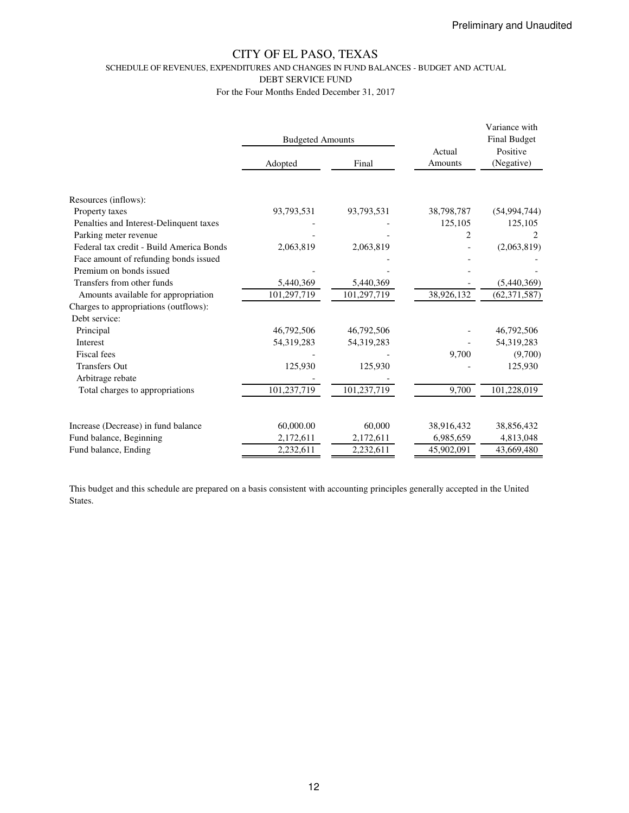SCHEDULE OF REVENUES, EXPENDITURES AND CHANGES IN FUND BALANCES - BUDGET AND ACTUAL

DEBT SERVICE FUND

For the Four Months Ended December 31, 2017

|                                          | <b>Budgeted Amounts</b> |             | Actual     | Variance with<br><b>Final Budget</b><br>Positive<br>(Negative) |  |
|------------------------------------------|-------------------------|-------------|------------|----------------------------------------------------------------|--|
|                                          | Adopted                 | Final       | Amounts    |                                                                |  |
|                                          |                         |             |            |                                                                |  |
| Resources (inflows):                     |                         |             |            |                                                                |  |
| Property taxes                           | 93,793,531              | 93,793,531  | 38,798,787 | (54, 994, 744)                                                 |  |
| Penalties and Interest-Delinquent taxes  |                         |             | 125,105    | 125,105                                                        |  |
| Parking meter revenue                    |                         |             | 2          |                                                                |  |
| Federal tax credit - Build America Bonds | 2,063,819               | 2,063,819   |            | (2,063,819)                                                    |  |
| Face amount of refunding bonds issued    |                         |             |            |                                                                |  |
| Premium on bonds issued                  |                         |             |            |                                                                |  |
| Transfers from other funds               | 5,440,369               | 5,440,369   |            | (5,440,369)                                                    |  |
| Amounts available for appropriation      | 101,297,719             | 101,297,719 | 38,926,132 | (62, 371, 587)                                                 |  |
| Charges to appropriations (outflows):    |                         |             |            |                                                                |  |
| Debt service:                            |                         |             |            |                                                                |  |
| Principal                                | 46,792,506              | 46,792,506  |            | 46,792,506                                                     |  |
| Interest                                 | 54,319,283              | 54,319,283  |            | 54,319,283                                                     |  |
| <b>Fiscal</b> fees                       |                         |             | 9,700      | (9,700)                                                        |  |
| <b>Transfers Out</b>                     | 125,930                 | 125,930     |            | 125,930                                                        |  |
| Arbitrage rebate                         |                         |             |            |                                                                |  |
| Total charges to appropriations          | 101,237,719             | 101,237,719 | 9,700      | 101,228,019                                                    |  |
|                                          |                         |             |            |                                                                |  |
| Increase (Decrease) in fund balance      | 60,000.00               | 60,000      | 38,916,432 | 38,856,432                                                     |  |
| Fund balance, Beginning                  | 2,172,611               | 2,172,611   | 6,985,659  | 4,813,048                                                      |  |
| Fund balance, Ending                     | 2,232,611               | 2,232,611   | 45,902,091 | 43,669,480                                                     |  |

This budget and this schedule are prepared on a basis consistent with accounting principles generally accepted in the United States.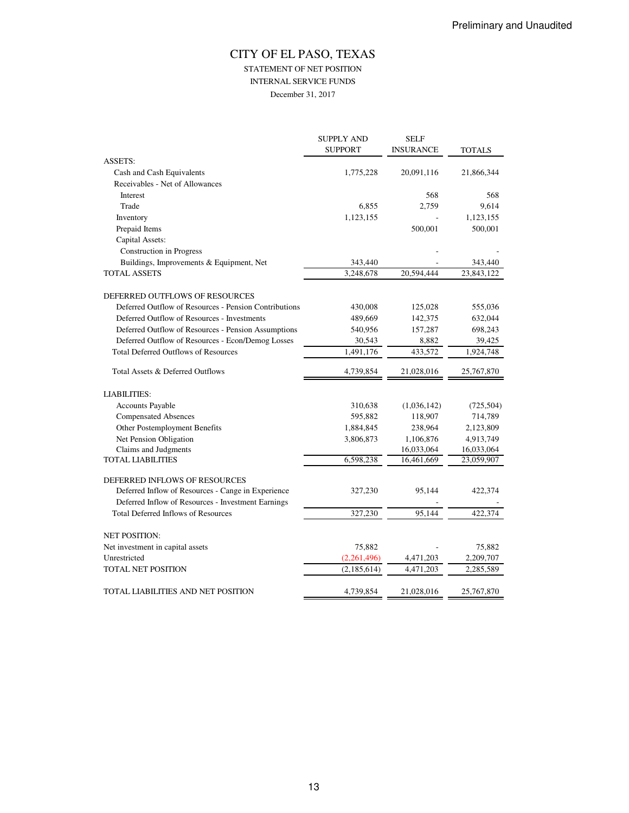# CITY OF EL PASO, TEXAS STATEMENT OF NET POSITION INTERNAL SERVICE FUNDS

December 31, 2017

|                                                       | <b>SUPPLY AND</b><br><b>SUPPORT</b> | <b>SELF</b><br><b>INSURANCE</b> | <b>TOTALS</b> |
|-------------------------------------------------------|-------------------------------------|---------------------------------|---------------|
| <b>ASSETS:</b>                                        |                                     |                                 |               |
| Cash and Cash Equivalents                             | 1,775,228                           | 20,091,116                      | 21,866,344    |
| Receivables - Net of Allowances                       |                                     |                                 |               |
| Interest                                              |                                     | 568                             | 568           |
| Trade                                                 | 6,855                               | 2,759                           | 9,614         |
| Inventory                                             | 1,123,155                           |                                 | 1,123,155     |
| Prepaid Items                                         |                                     | 500,001                         | 500,001       |
| Capital Assets:                                       |                                     |                                 |               |
| <b>Construction</b> in Progress                       |                                     |                                 |               |
| Buildings, Improvements & Equipment, Net              | 343,440                             |                                 | 343,440       |
| <b>TOTAL ASSETS</b>                                   | 3,248,678                           | 20,594,444                      | 23,843,122    |
| DEFERRED OUTFLOWS OF RESOURCES                        |                                     |                                 |               |
| Deferred Outflow of Resources - Pension Contributions | 430,008                             | 125,028                         | 555,036       |
| Deferred Outflow of Resources - Investments           | 489,669                             | 142,375                         | 632,044       |
| Deferred Outflow of Resources - Pension Assumptions   | 540,956                             | 157,287                         | 698,243       |
| Deferred Outflow of Resources - Econ/Demog Losses     | 30,543                              | 8,882                           | 39,425        |
| <b>Total Deferred Outflows of Resources</b>           | 1,491,176                           | 433,572                         | 1,924,748     |
| Total Assets & Deferred Outflows                      | 4,739,854                           | 21,028,016                      | 25,767,870    |
| <b>LIABILITIES:</b>                                   |                                     |                                 |               |
| Accounts Payable                                      | 310,638                             | (1,036,142)                     | (725, 504)    |
| <b>Compensated Absences</b>                           | 595,882                             | 118,907                         | 714,789       |
| Other Postemployment Benefits                         | 1,884,845                           | 238,964                         | 2,123,809     |
| Net Pension Obligation                                | 3,806,873                           | 1,106,876                       | 4,913,749     |
| Claims and Judgments                                  |                                     | 16,033,064                      | 16,033,064    |
| <b>TOTAL LIABILITIES</b>                              | 6,598,238                           | 16,461,669                      | 23,059,907    |
| DEFERRED INFLOWS OF RESOURCES                         |                                     |                                 |               |
| Deferred Inflow of Resources - Cange in Experience    | 327,230                             | 95,144                          | 422,374       |
| Deferred Inflow of Resources - Investment Earnings    |                                     |                                 |               |
| <b>Total Deferred Inflows of Resources</b>            | 327,230                             | 95,144                          | 422,374       |
| <b>NET POSITION:</b>                                  |                                     |                                 |               |
| Net investment in capital assets                      | 75,882                              |                                 | 75,882        |
| Unrestricted                                          | (2,261,496)                         | 4,471,203                       | 2,209,707     |
| <b>TOTAL NET POSITION</b>                             | (2, 185, 614)                       | 4,471,203                       | 2,285,589     |
| TOTAL LIABILITIES AND NET POSITION                    | 4,739,854                           | 21,028,016                      | 25,767,870    |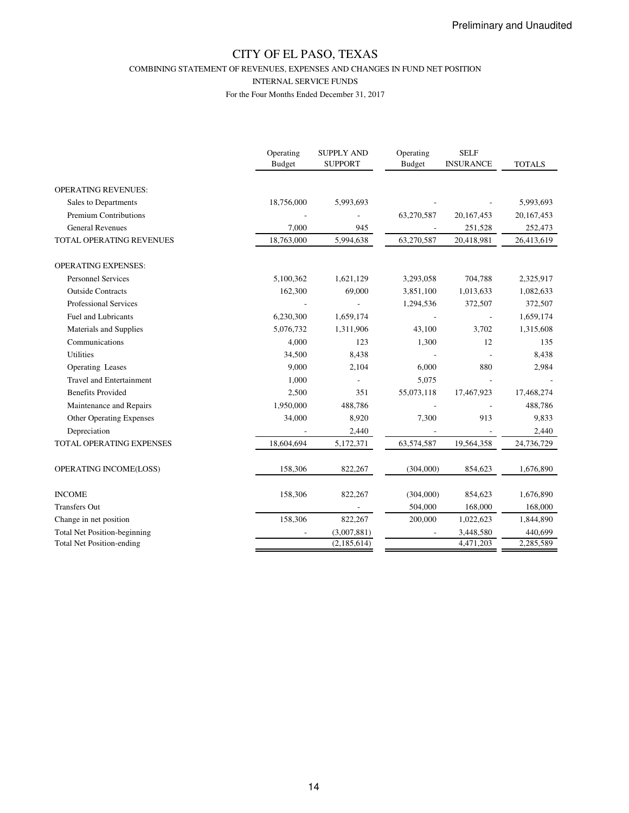COMBINING STATEMENT OF REVENUES, EXPENSES AND CHANGES IN FUND NET POSITION

INTERNAL SERVICE FUNDS

|                                     | Operating<br><b>Budget</b> | <b>SUPPLY AND</b><br><b>SUPPORT</b> | Operating<br><b>Budget</b> | <b>SELF</b><br><b>INSURANCE</b> | <b>TOTALS</b> |
|-------------------------------------|----------------------------|-------------------------------------|----------------------------|---------------------------------|---------------|
| <b>OPERATING REVENUES:</b>          |                            |                                     |                            |                                 |               |
| Sales to Departments                | 18,756,000                 | 5,993,693                           |                            |                                 | 5,993,693     |
| <b>Premium Contributions</b>        |                            |                                     | 63,270,587                 | 20, 167, 453                    | 20, 167, 453  |
| <b>General Revenues</b>             | 7,000                      | 945                                 |                            | 251,528                         | 252,473       |
| TOTAL OPERATING REVENUES            | 18,763,000                 | 5,994,638                           | 63,270,587                 | 20,418,981                      | 26,413,619    |
| <b>OPERATING EXPENSES:</b>          |                            |                                     |                            |                                 |               |
| <b>Personnel Services</b>           | 5,100,362                  | 1,621,129                           | 3,293,058                  | 704,788                         | 2,325,917     |
| <b>Outside Contracts</b>            | 162,300                    | 69,000                              | 3,851,100                  | 1,013,633                       | 1,082,633     |
| Professional Services               |                            |                                     | 1,294,536                  | 372,507                         | 372,507       |
| <b>Fuel and Lubricants</b>          | 6,230,300                  | 1,659,174                           |                            |                                 | 1,659,174     |
| Materials and Supplies              | 5,076,732                  | 1,311,906                           | 43,100                     | 3,702                           | 1,315,608     |
| Communications                      | 4,000                      | 123                                 | 1,300                      | 12                              | 135           |
| <b>Utilities</b>                    | 34,500                     | 8,438                               |                            |                                 | 8,438         |
| Operating Leases                    | 9.000                      | 2,104                               | 6,000                      | 880                             | 2,984         |
| <b>Travel and Entertainment</b>     | 1,000                      |                                     | 5,075                      |                                 |               |
| <b>Benefits Provided</b>            | 2,500                      | 351                                 | 55,073,118                 | 17,467,923                      | 17,468,274    |
| Maintenance and Repairs             | 1,950,000                  | 488,786                             |                            |                                 | 488,786       |
| <b>Other Operating Expenses</b>     | 34,000                     | 8,920                               | 7,300                      | 913                             | 9,833         |
| Depreciation                        |                            | 2,440                               |                            |                                 | 2,440         |
| TOTAL OPERATING EXPENSES            | 18,604,694                 | 5,172,371                           | 63,574,587                 | 19,564,358                      | 24,736,729    |
| OPERATING INCOME(LOSS)              | 158,306                    | 822,267                             | (304,000)                  | 854,623                         | 1,676,890     |
| <b>INCOME</b>                       | 158,306                    | 822,267                             | (304,000)                  | 854,623                         | 1,676,890     |
| <b>Transfers Out</b>                |                            |                                     | 504,000                    | 168,000                         | 168,000       |
| Change in net position              | 158,306                    | 822,267                             | 200,000                    | 1,022,623                       | 1,844,890     |
| <b>Total Net Position-beginning</b> |                            | (3,007,881)                         |                            | 3,448,580                       | 440,699       |
| <b>Total Net Position-ending</b>    |                            | (2,185,614)                         |                            | 4,471,203                       | 2,285,589     |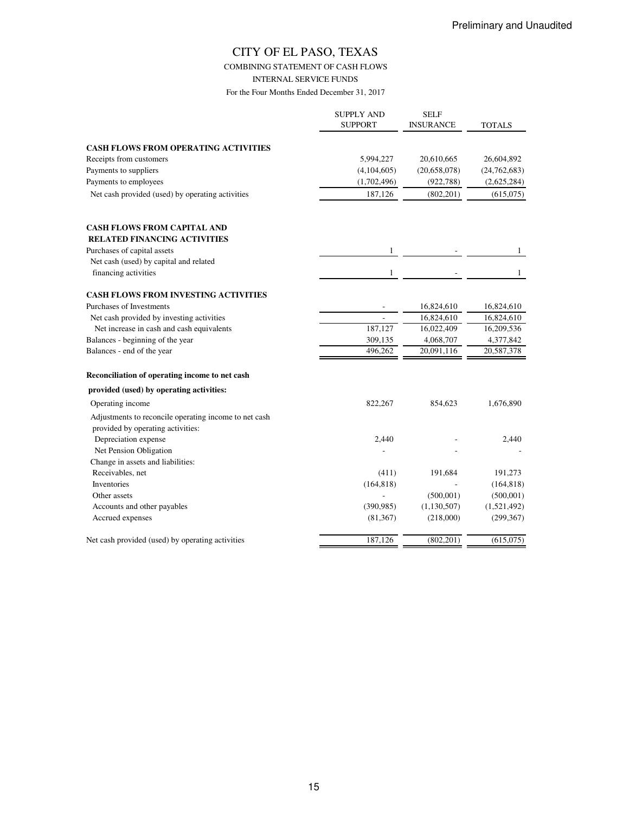## COMBINING STATEMENT OF CASH FLOWS

INTERNAL SERVICE FUNDS

|                                                       | <b>SUPPLY AND</b><br><b>SUPPORT</b> | <b>SELF</b><br><b>INSURANCE</b> | <b>TOTALS</b>  |
|-------------------------------------------------------|-------------------------------------|---------------------------------|----------------|
| <b>CASH FLOWS FROM OPERATING ACTIVITIES</b>           |                                     |                                 |                |
| Receipts from customers                               | 5,994,227                           | 20,610,665                      | 26,604,892     |
| Payments to suppliers                                 | (4,104,605)                         | (20,658,078)                    | (24, 762, 683) |
| Payments to employees                                 | (1,702,496)                         | (922, 788)                      | (2,625,284)    |
| Net cash provided (used) by operating activities      | 187,126                             | (802, 201)                      | (615,075)      |
|                                                       |                                     |                                 |                |
| <b>CASH FLOWS FROM CAPITAL AND</b>                    |                                     |                                 |                |
| <b>RELATED FINANCING ACTIVITIES</b>                   |                                     |                                 |                |
| Purchases of capital assets                           | 1                                   |                                 | 1              |
| Net cash (used) by capital and related                |                                     |                                 |                |
| financing activities                                  | 1                                   |                                 | $\mathbf{1}$   |
| <b>CASH FLOWS FROM INVESTING ACTIVITIES</b>           |                                     |                                 |                |
| Purchases of Investments                              |                                     | 16,824,610                      | 16,824,610     |
| Net cash provided by investing activities             |                                     | 16,824,610                      | 16,824,610     |
| Net increase in cash and cash equivalents             | 187,127                             | 16,022,409                      | 16,209,536     |
| Balances - beginning of the year                      | 309,135                             | 4,068,707                       | 4,377,842      |
| Balances - end of the year                            | 496,262                             | 20,091,116                      | 20,587,378     |
| Reconciliation of operating income to net cash        |                                     |                                 |                |
| provided (used) by operating activities:              |                                     |                                 |                |
| Operating income                                      | 822,267                             | 854,623                         | 1,676,890      |
| Adjustments to reconcile operating income to net cash |                                     |                                 |                |
| provided by operating activities:                     |                                     |                                 |                |
| Depreciation expense                                  | 2,440                               |                                 | 2,440          |
| Net Pension Obligation                                |                                     |                                 |                |
| Change in assets and liabilities:                     |                                     |                                 |                |
| Receivables, net                                      | (411)                               | 191,684                         | 191,273        |
| Inventories                                           | (164, 818)                          |                                 | (164, 818)     |
| Other assets                                          |                                     | (500,001)                       | (500,001)      |
| Accounts and other payables                           | (390, 985)                          | (1, 130, 507)                   | (1,521,492)    |
| Accrued expenses                                      | (81, 367)                           | (218,000)                       | (299, 367)     |
| Net cash provided (used) by operating activities      | 187,126                             | (802, 201)                      | (615,075)      |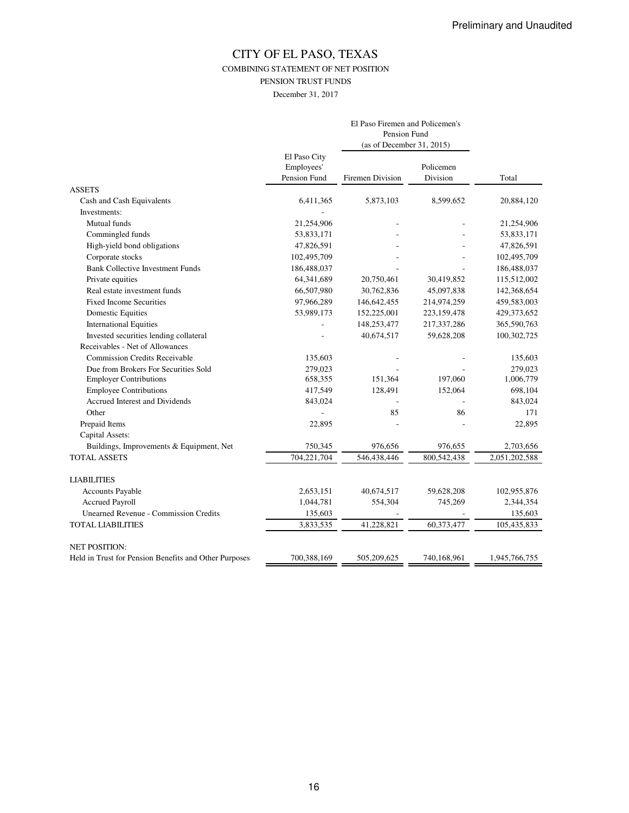COMBINING STATEMENT OF NET POSITION

PENSION TRUST FUNDS

December 31, 2017

|                                                       |                                            | El Paso Firemen and Policemen's<br>Pension Fund<br>(as of December 31, 2015) |                       |               |
|-------------------------------------------------------|--------------------------------------------|------------------------------------------------------------------------------|-----------------------|---------------|
|                                                       | El Paso City<br>Employees'<br>Pension Fund | Firemen Division                                                             | Policemen<br>Division | Total         |
| <b>ASSETS</b>                                         |                                            |                                                                              |                       |               |
| Cash and Cash Equivalents                             | 6,411,365                                  | 5,873,103                                                                    | 8,599,652             | 20,884,120    |
| Investments:                                          |                                            |                                                                              |                       |               |
| Mutual funds                                          | 21,254,906                                 |                                                                              |                       | 21,254,906    |
| Commingled funds                                      | 53,833,171                                 |                                                                              |                       | 53,833,171    |
| High-yield bond obligations                           | 47,826,591                                 |                                                                              |                       | 47,826,591    |
| Corporate stocks                                      | 102,495,709                                |                                                                              |                       | 102,495,709   |
| <b>Bank Collective Investment Funds</b>               | 186,488,037                                |                                                                              |                       | 186,488,037   |
| Private equities                                      | 64,341,689                                 | 20,750,461                                                                   | 30,419,852            | 115,512,002   |
| Real estate investment funds                          | 66,507,980                                 | 30,762,836                                                                   | 45,097,838            | 142,368,654   |
| <b>Fixed Income Securities</b>                        | 97,966,289                                 | 146,642,455                                                                  | 214,974,259           | 459,583,003   |
| <b>Domestic Equities</b>                              | 53,989,173                                 | 152,225,001                                                                  | 223,159,478           | 429,373,652   |
| <b>International Equities</b>                         |                                            | 148,253,477                                                                  | 217,337,286           | 365,590,763   |
| Invested securities lending collateral                |                                            | 40,674,517                                                                   | 59,628,208            | 100,302,725   |
| Receivables - Net of Allowances                       |                                            |                                                                              |                       |               |
| <b>Commission Credits Receivable</b>                  | 135,603                                    |                                                                              |                       | 135,603       |
| Due from Brokers For Securities Sold                  | 279,023                                    |                                                                              |                       | 279,023       |
| <b>Employer Contributions</b>                         | 658,355                                    | 151,364                                                                      | 197,060               | 1,006,779     |
| <b>Employee Contributions</b>                         | 417,549                                    | 128,491                                                                      | 152,064               | 698,104       |
| Accrued Interest and Dividends                        | 843,024                                    |                                                                              |                       | 843,024       |
| Other                                                 |                                            | 85                                                                           | 86                    | 171           |
| Prepaid Items                                         | 22,895                                     |                                                                              |                       | 22,895        |
| Capital Assets:                                       |                                            |                                                                              |                       |               |
| Buildings, Improvements & Equipment, Net              | 750,345                                    | 976,656                                                                      | 976,655               | 2,703,656     |
| <b>TOTAL ASSETS</b>                                   | 704,221,704                                | 546,438,446                                                                  | 800,542,438           | 2,051,202,588 |
| <b>LIABILITIES</b>                                    |                                            |                                                                              |                       |               |
| Accounts Payable                                      | 2,653,151                                  | 40,674,517                                                                   | 59,628,208            | 102,955,876   |
| <b>Accrued Payroll</b>                                | 1,044,781                                  | 554,304                                                                      | 745,269               | 2,344,354     |
| <b>Unearned Revenue - Commission Credits</b>          | 135,603                                    |                                                                              |                       | 135,603       |
| <b>TOTAL LIABILITIES</b>                              | 3,833,535                                  | 41,228,821                                                                   | 60,373,477            | 105,435,833   |
| <b>NET POSITION:</b>                                  |                                            |                                                                              |                       |               |
| Held in Trust for Pension Benefits and Other Purposes | 700,388,169                                | 505,209,625                                                                  | 740,168,961           | 1,945,766,755 |